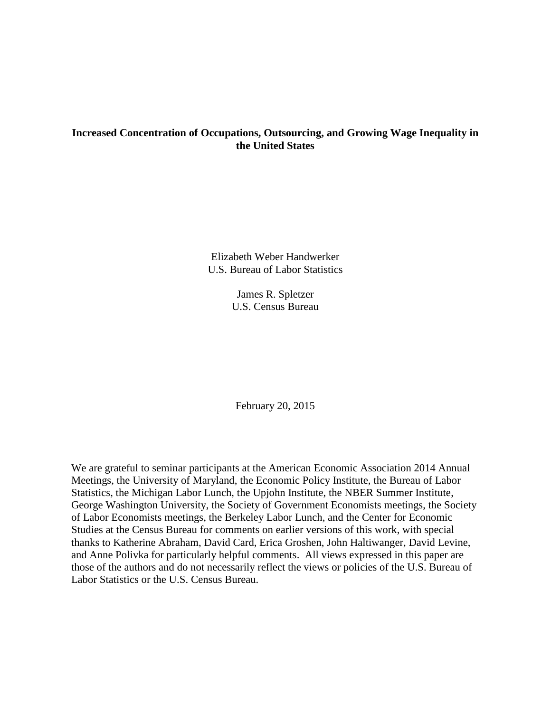## **Increased Concentration of Occupations, Outsourcing, and Growing Wage Inequality in the United States**

Elizabeth Weber Handwerker U.S. Bureau of Labor Statistics

> James R. Spletzer U.S. Census Bureau

February 20, 2015

We are grateful to seminar participants at the American Economic Association 2014 Annual Meetings, the University of Maryland, the Economic Policy Institute, the Bureau of Labor Statistics, the Michigan Labor Lunch, the Upjohn Institute, the NBER Summer Institute, George Washington University, the Society of Government Economists meetings, the Society of Labor Economists meetings, the Berkeley Labor Lunch, and the Center for Economic Studies at the Census Bureau for comments on earlier versions of this work, with special thanks to Katherine Abraham, David Card, Erica Groshen, John Haltiwanger, David Levine, and Anne Polivka for particularly helpful comments. All views expressed in this paper are those of the authors and do not necessarily reflect the views or policies of the U.S. Bureau of Labor Statistics or the U.S. Census Bureau.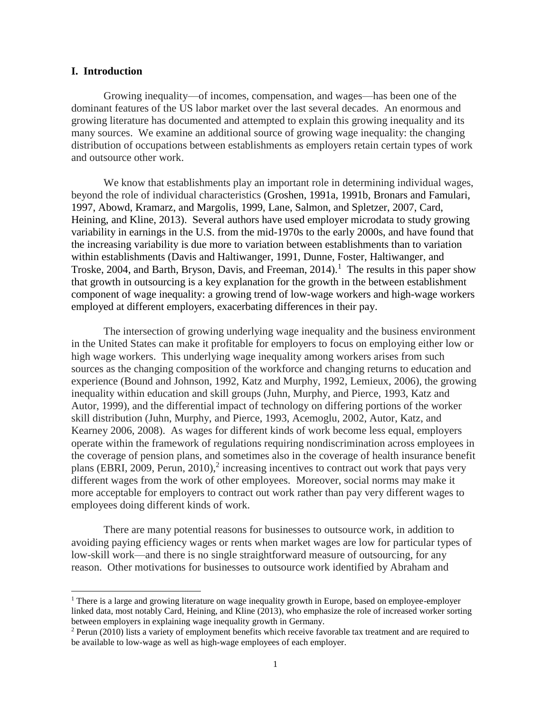## **I. Introduction**

 $\overline{a}$ 

Growing inequality—of incomes, compensation, and wages—has been one of the dominant features of the US labor market over the last several decades. An enormous and growing literature has documented and attempted to explain this growing inequality and its many sources. We examine an additional source of growing wage inequality: the changing distribution of occupations between establishments as employers retain certain types of work and outsource other work.

We know that establishments play an important role in determining individual wages, beyond the role of individual characteristics (Groshen, 1991a, 1991b, Bronars and Famulari, 1997, Abowd, Kramarz, and Margolis, 1999, Lane, Salmon, and Spletzer, 2007, Card, Heining, and Kline, 2013). Several authors have used employer microdata to study growing variability in earnings in the U.S. from the mid-1970s to the early 2000s, and have found that the increasing variability is due more to variation between establishments than to variation within establishments (Davis and Haltiwanger, 1991, Dunne, Foster, Haltiwanger, and Troske, 2004, and Barth, Bryson, Davis, and Freeman,  $2014$ ).<sup>1</sup> The results in this paper show that growth in outsourcing is a key explanation for the growth in the between establishment component of wage inequality: a growing trend of low-wage workers and high-wage workers employed at different employers, exacerbating differences in their pay.

The intersection of growing underlying wage inequality and the business environment in the United States can make it profitable for employers to focus on employing either low or high wage workers. This underlying wage inequality among workers arises from such sources as the changing composition of the workforce and changing returns to education and experience (Bound and Johnson, 1992, Katz and Murphy, 1992, Lemieux, 2006), the growing inequality within education and skill groups (Juhn, Murphy, and Pierce, 1993, Katz and Autor, 1999), and the differential impact of technology on differing portions of the worker skill distribution (Juhn, Murphy, and Pierce, 1993, Acemoglu, 2002, Autor, Katz, and Kearney 2006, 2008). As wages for different kinds of work become less equal, employers operate within the framework of regulations requiring nondiscrimination across employees in the coverage of pension plans, and sometimes also in the coverage of health insurance benefit plans (EBRI, 2009, Perun, 2010),<sup>2</sup> increasing incentives to contract out work that pays very different wages from the work of other employees. Moreover, social norms may make it more acceptable for employers to contract out work rather than pay very different wages to employees doing different kinds of work.

There are many potential reasons for businesses to outsource work, in addition to avoiding paying efficiency wages or rents when market wages are low for particular types of low-skill work—and there is no single straightforward measure of outsourcing, for any reason. Other motivations for businesses to outsource work identified by Abraham and

 $1$  There is a large and growing literature on wage inequality growth in Europe, based on employee-employer linked data, most notably Card, Heining, and Kline (2013), who emphasize the role of increased worker sorting between employers in explaining wage inequality growth in Germany.

 $2$  Perun (2010) lists a variety of employment benefits which receive favorable tax treatment and are required to be available to low-wage as well as high-wage employees of each employer.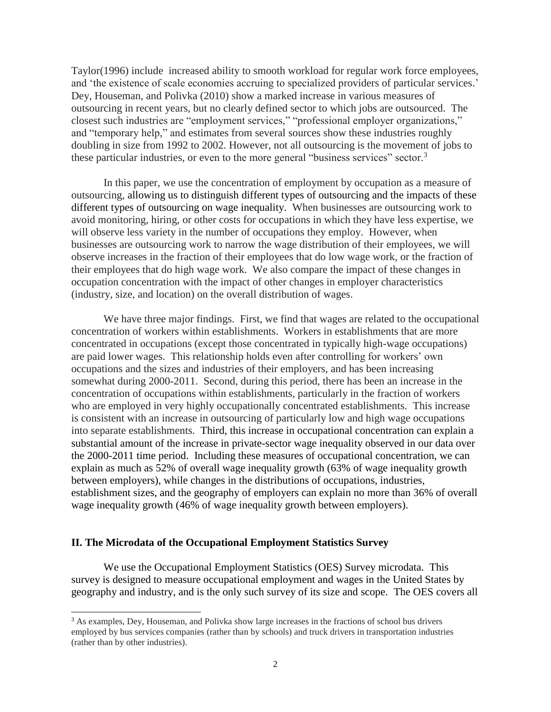Taylor(1996) include increased ability to smooth workload for regular work force employees, and 'the existence of scale economies accruing to specialized providers of particular services.' Dey, Houseman, and Polivka (2010) show a marked increase in various measures of outsourcing in recent years, but no clearly defined sector to which jobs are outsourced. The closest such industries are "employment services," "professional employer organizations," and "temporary help," and estimates from several sources show these industries roughly doubling in size from 1992 to 2002. However, not all outsourcing is the movement of jobs to these particular industries, or even to the more general "business services" sector.<sup>3</sup>

In this paper, we use the concentration of employment by occupation as a measure of outsourcing, allowing us to distinguish different types of outsourcing and the impacts of these different types of outsourcing on wage inequality. When businesses are outsourcing work to avoid monitoring, hiring, or other costs for occupations in which they have less expertise, we will observe less variety in the number of occupations they employ. However, when businesses are outsourcing work to narrow the wage distribution of their employees, we will observe increases in the fraction of their employees that do low wage work, or the fraction of their employees that do high wage work. We also compare the impact of these changes in occupation concentration with the impact of other changes in employer characteristics (industry, size, and location) on the overall distribution of wages.

We have three major findings. First, we find that wages are related to the occupational concentration of workers within establishments. Workers in establishments that are more concentrated in occupations (except those concentrated in typically high-wage occupations) are paid lower wages. This relationship holds even after controlling for workers' own occupations and the sizes and industries of their employers, and has been increasing somewhat during 2000-2011. Second, during this period, there has been an increase in the concentration of occupations within establishments, particularly in the fraction of workers who are employed in very highly occupationally concentrated establishments. This increase is consistent with an increase in outsourcing of particularly low and high wage occupations into separate establishments. Third, this increase in occupational concentration can explain a substantial amount of the increase in private-sector wage inequality observed in our data over the 2000-2011 time period. Including these measures of occupational concentration, we can explain as much as 52% of overall wage inequality growth (63% of wage inequality growth between employers), while changes in the distributions of occupations, industries, establishment sizes, and the geography of employers can explain no more than 36% of overall wage inequality growth (46% of wage inequality growth between employers).

## **II. The Microdata of the Occupational Employment Statistics Survey**

l

We use the Occupational Employment Statistics (OES) Survey microdata. This survey is designed to measure occupational employment and wages in the United States by geography and industry, and is the only such survey of its size and scope. The OES covers all

<sup>&</sup>lt;sup>3</sup> As examples, Dey, Houseman, and Polivka show large increases in the fractions of school bus drivers employed by bus services companies (rather than by schools) and truck drivers in transportation industries (rather than by other industries).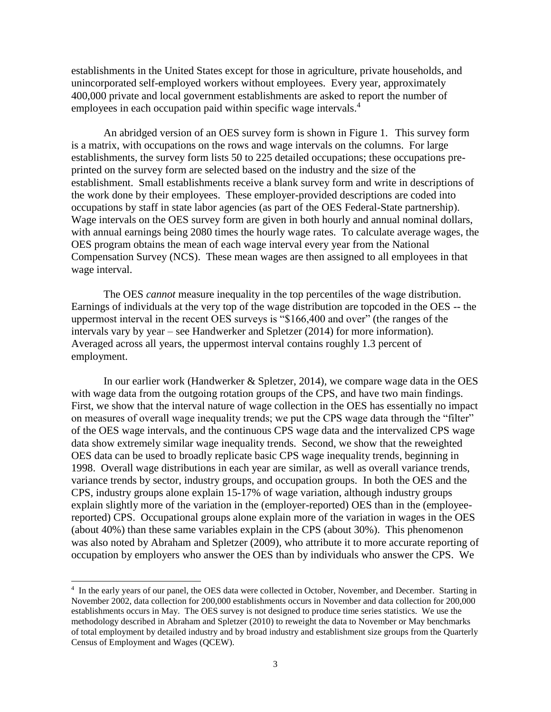establishments in the United States except for those in agriculture, private households, and unincorporated self-employed workers without employees. Every year, approximately 400,000 private and local government establishments are asked to report the number of employees in each occupation paid within specific wage intervals.<sup>4</sup>

An abridged version of an OES survey form is shown in Figure 1. This survey form is a matrix, with occupations on the rows and wage intervals on the columns. For large establishments, the survey form lists 50 to 225 detailed occupations; these occupations preprinted on the survey form are selected based on the industry and the size of the establishment. Small establishments receive a blank survey form and write in descriptions of the work done by their employees. These employer-provided descriptions are coded into occupations by staff in state labor agencies (as part of the OES Federal-State partnership). Wage intervals on the OES survey form are given in both hourly and annual nominal dollars, with annual earnings being 2080 times the hourly wage rates. To calculate average wages, the OES program obtains the mean of each wage interval every year from the National Compensation Survey (NCS). These mean wages are then assigned to all employees in that wage interval.

The OES *cannot* measure inequality in the top percentiles of the wage distribution. Earnings of individuals at the very top of the wage distribution are topcoded in the OES -- the uppermost interval in the recent OES surveys is "\$166,400 and over" (the ranges of the intervals vary by year – see Handwerker and Spletzer (2014) for more information). Averaged across all years, the uppermost interval contains roughly 1.3 percent of employment.

In our earlier work (Handwerker & Spletzer, 2014), we compare wage data in the OES with wage data from the outgoing rotation groups of the CPS, and have two main findings. First, we show that the interval nature of wage collection in the OES has essentially no impact on measures of overall wage inequality trends; we put the CPS wage data through the "filter" of the OES wage intervals, and the continuous CPS wage data and the intervalized CPS wage data show extremely similar wage inequality trends. Second, we show that the reweighted OES data can be used to broadly replicate basic CPS wage inequality trends, beginning in 1998. Overall wage distributions in each year are similar, as well as overall variance trends, variance trends by sector, industry groups, and occupation groups. In both the OES and the CPS, industry groups alone explain 15-17% of wage variation, although industry groups explain slightly more of the variation in the (employer-reported) OES than in the (employeereported) CPS. Occupational groups alone explain more of the variation in wages in the OES (about 40%) than these same variables explain in the CPS (about 30%). This phenomenon was also noted by Abraham and Spletzer (2009), who attribute it to more accurate reporting of occupation by employers who answer the OES than by individuals who answer the CPS. We

 $\overline{a}$ 

<sup>&</sup>lt;sup>4</sup> In the early years of our panel, the OES data were collected in October, November, and December. Starting in November 2002, data collection for 200,000 establishments occurs in November and data collection for 200,000 establishments occurs in May. The OES survey is not designed to produce time series statistics. We use the methodology described in Abraham and Spletzer (2010) to reweight the data to November or May benchmarks of total employment by detailed industry and by broad industry and establishment size groups from the Quarterly Census of Employment and Wages (QCEW).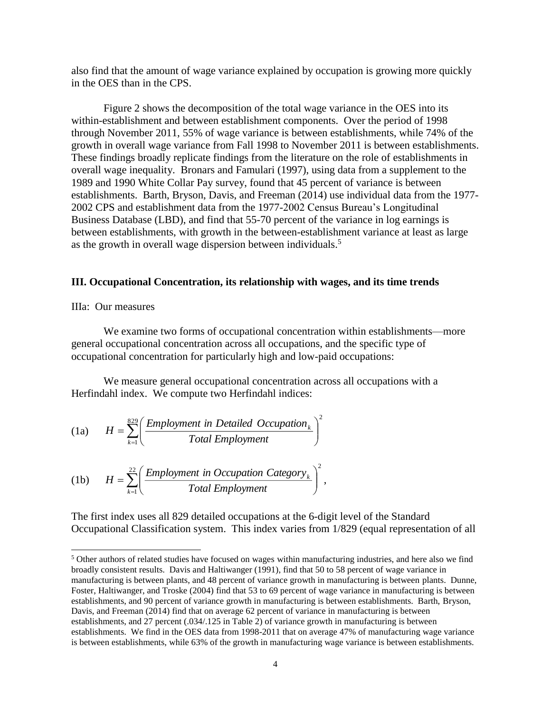also find that the amount of wage variance explained by occupation is growing more quickly in the OES than in the CPS.

Figure 2 shows the decomposition of the total wage variance in the OES into its within-establishment and between establishment components. Over the period of 1998 through November 2011, 55% of wage variance is between establishments, while 74% of the growth in overall wage variance from Fall 1998 to November 2011 is between establishments. These findings broadly replicate findings from the literature on the role of establishments in overall wage inequality. Bronars and Famulari (1997), using data from a supplement to the 1989 and 1990 White Collar Pay survey, found that 45 percent of variance is between establishments. Barth, Bryson, Davis, and Freeman (2014) use individual data from the 1977- 2002 CPS and establishment data from the 1977-2002 Census Bureau's Longitudinal Business Database (LBD), and find that 55-70 percent of the variance in log earnings is between establishments, with growth in the between-establishment variance at least as large as the growth in overall wage dispersion between individuals.<sup>5</sup>

## **III. Occupational Concentration, its relationship with wages, and its time trends**

## IIIa: Our measures

l

We examine two forms of occupational concentration within establishments—more general occupational concentration across all occupations, and the specific type of occupational concentration for particularly high and low-paid occupations:

We measure general occupational concentration across all occupations with a Herfindahl index. We compute two Herfindahl indices:

(1a) 
$$
H = \sum_{k=1}^{829} \left( \frac{Employment \text{ in Detailed Occupation}_k}{Total Employment} \right)^2
$$

(1b) 
$$
H = \sum_{k=1}^{22} \left( \frac{Employment \text{ in Occupation} \text{Category}_k}{Total Employment} \right)^2,
$$

The first index uses all 829 detailed occupations at the 6-digit level of the Standard Occupational Classification system. This index varies from 1/829 (equal representation of all

<sup>5</sup> Other authors of related studies have focused on wages within manufacturing industries, and here also we find broadly consistent results. Davis and Haltiwanger (1991), find that 50 to 58 percent of wage variance in manufacturing is between plants, and 48 percent of variance growth in manufacturing is between plants. Dunne,

Foster, Haltiwanger, and Troske (2004) find that 53 to 69 percent of wage variance in manufacturing is between establishments, and 90 percent of variance growth in manufacturing is between establishments. Barth, Bryson, Davis, and Freeman (2014) find that on average 62 percent of variance in manufacturing is between establishments, and 27 percent (.034/.125 in Table 2) of variance growth in manufacturing is between establishments. We find in the OES data from 1998-2011 that on average 47% of manufacturing wage variance is between establishments, while 63% of the growth in manufacturing wage variance is between establishments.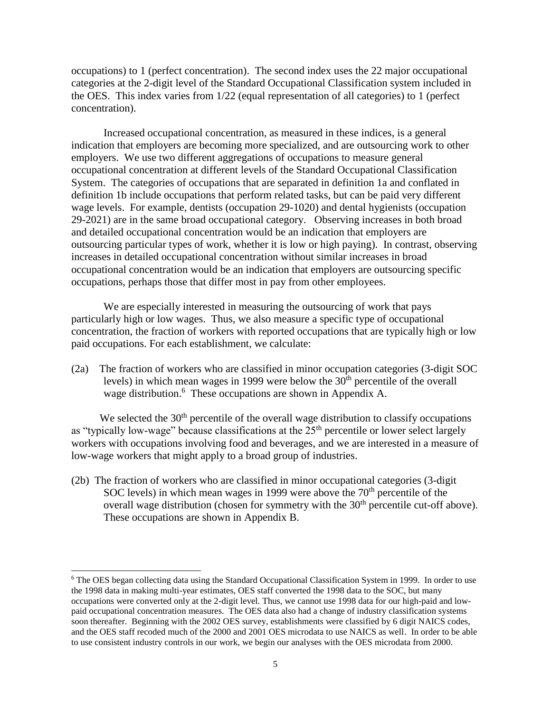occupations) to 1 (perfect concentration). The second index uses the 22 major occupational categories at the 2-digit level of the Standard Occupational Classification system included in the OES. This index varies from 1/22 (equal representation of all categories) to 1 (perfect concentration).

Increased occupational concentration, as measured in these indices, is a general indication that employers are becoming more specialized, and are outsourcing work to other employers. We use two different aggregations of occupations to measure general occupational concentration at different levels of the Standard Occupational Classification System. The categories of occupations that are separated in definition 1a and conflated in definition 1b include occupations that perform related tasks, but can be paid very different wage levels. For example, dentists (occupation 29-1020) and dental hygienists (occupation 29-2021) are in the same broad occupational category. Observing increases in both broad and detailed occupational concentration would be an indication that employers are outsourcing particular types of work, whether it is low or high paying). In contrast, observing increases in detailed occupational concentration without similar increases in broad occupational concentration would be an indication that employers are outsourcing specific occupations, perhaps those that differ most in pay from other employees.

We are especially interested in measuring the outsourcing of work that pays particularly high or low wages. Thus, we also measure a specific type of occupational concentration, the fraction of workers with reported occupations that are typically high or low paid occupations. For each establishment, we calculate:

(2a) The fraction of workers who are classified in minor occupation categories (3-digit SOC levels) in which mean wages in 1999 were below the  $30<sup>th</sup>$  percentile of the overall wage distribution.<sup>6</sup> These occupations are shown in Appendix A.

We selected the  $30<sup>th</sup>$  percentile of the overall wage distribution to classify occupations as "typically low-wage" because classifications at the  $25<sup>th</sup>$  percentile or lower select largely workers with occupations involving food and beverages, and we are interested in a measure of low-wage workers that might apply to a broad group of industries.

(2b) The fraction of workers who are classified in minor occupational categories (3-digit SOC levels) in which mean wages in 1999 were above the  $70<sup>th</sup>$  percentile of the overall wage distribution (chosen for symmetry with the 30<sup>th</sup> percentile cut-off above). These occupations are shown in Appendix B.

 $\overline{a}$ 

<sup>&</sup>lt;sup>6</sup> The OES began collecting data using the Standard Occupational Classification System in 1999. In order to use the 1998 data in making multi-year estimates, OES staff converted the 1998 data to the SOC, but many occupations were converted only at the 2-digit level. Thus, we cannot use 1998 data for our high-paid and lowpaid occupational concentration measures. The OES data also had a change of industry classification systems soon thereafter. Beginning with the 2002 OES survey, establishments were classified by 6 digit NAICS codes, and the OES staff recoded much of the 2000 and 2001 OES microdata to use NAICS as well. In order to be able to use consistent industry controls in our work, we begin our analyses with the OES microdata from 2000.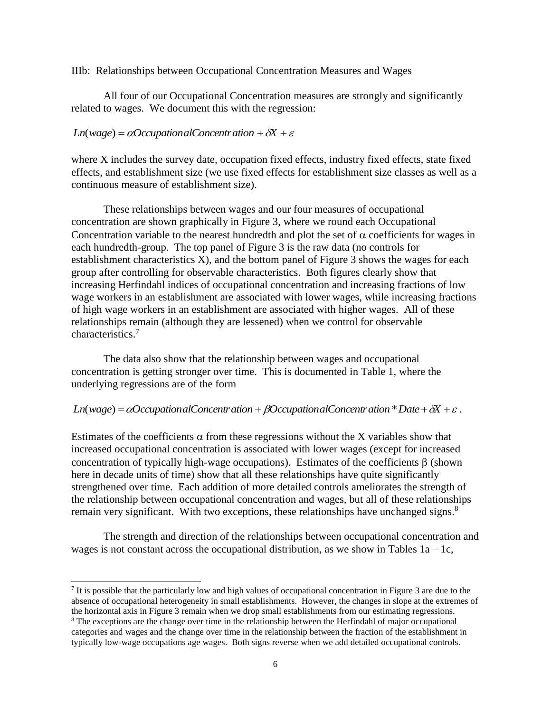IIIb: Relationships between Occupational Concentration Measures and Wages

All four of our Occupational Concentration measures are strongly and significantly related to wages. We document this with the regression:

## $Ln(wage) = \alpha OccupationalConcentration + \delta X + \varepsilon$

 $\overline{a}$ 

where X includes the survey date, occupation fixed effects, industry fixed effects, state fixed effects, and establishment size (we use fixed effects for establishment size classes as well as a continuous measure of establishment size).

These relationships between wages and our four measures of occupational concentration are shown graphically in Figure 3, where we round each Occupational Concentration variable to the nearest hundredth and plot the set of  $\alpha$  coefficients for wages in each hundredth-group. The top panel of Figure 3 is the raw data (no controls for establishment characteristics X), and the bottom panel of Figure 3 shows the wages for each group after controlling for observable characteristics. Both figures clearly show that increasing Herfindahl indices of occupational concentration and increasing fractions of low wage workers in an establishment are associated with lower wages, while increasing fractions of high wage workers in an establishment are associated with higher wages. All of these relationships remain (although they are lessened) when we control for observable characteristics. 7

The data also show that the relationship between wages and occupational concentration is getting stronger over time. This is documented in Table 1, where the underlying regressions are of the form

## *Ln*(*wage*) =  $\alpha$ OccupationalConcentration +  $\beta$ OccupationalConcentration<sup>\*</sup> Date +  $\delta$ X +  $\varepsilon$ .

Estimates of the coefficients  $\alpha$  from these regressions without the X variables show that increased occupational concentration is associated with lower wages (except for increased concentration of typically high-wage occupations). Estimates of the coefficients  $\beta$  (shown here in decade units of time) show that all these relationships have quite significantly strengthened over time. Each addition of more detailed controls ameliorates the strength of the relationship between occupational concentration and wages, but all of these relationships remain very significant. With two exceptions, these relationships have unchanged signs.<sup>8</sup>

The strength and direction of the relationships between occupational concentration and wages is not constant across the occupational distribution, as we show in Tables  $1a - 1c$ ,

<sup>&</sup>lt;sup>7</sup> It is possible that the particularly low and high values of occupational concentration in Figure 3 are due to the absence of occupational heterogeneity in small establishments. However, the changes in slope at the extremes of the horizontal axis in Figure 3 remain when we drop small establishments from our estimating regressions. <sup>8</sup> The exceptions are the change over time in the relationship between the Herfindahl of major occupational categories and wages and the change over time in the relationship between the fraction of the establishment in typically low-wage occupations age wages. Both signs reverse when we add detailed occupational controls.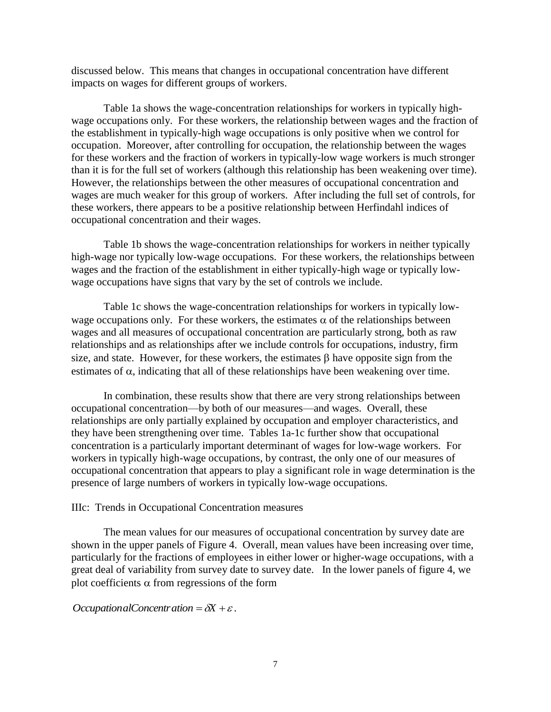discussed below. This means that changes in occupational concentration have different impacts on wages for different groups of workers.

Table 1a shows the wage-concentration relationships for workers in typically highwage occupations only. For these workers, the relationship between wages and the fraction of the establishment in typically-high wage occupations is only positive when we control for occupation. Moreover, after controlling for occupation, the relationship between the wages for these workers and the fraction of workers in typically-low wage workers is much stronger than it is for the full set of workers (although this relationship has been weakening over time). However, the relationships between the other measures of occupational concentration and wages are much weaker for this group of workers. After including the full set of controls, for these workers, there appears to be a positive relationship between Herfindahl indices of occupational concentration and their wages.

Table 1b shows the wage-concentration relationships for workers in neither typically high-wage nor typically low-wage occupations. For these workers, the relationships between wages and the fraction of the establishment in either typically-high wage or typically lowwage occupations have signs that vary by the set of controls we include.

Table 1c shows the wage-concentration relationships for workers in typically lowwage occupations only. For these workers, the estimates  $\alpha$  of the relationships between wages and all measures of occupational concentration are particularly strong, both as raw relationships and as relationships after we include controls for occupations, industry, firm size, and state. However, for these workers, the estimates  $\beta$  have opposite sign from the estimates of  $\alpha$ , indicating that all of these relationships have been weakening over time.

In combination, these results show that there are very strong relationships between occupational concentration—by both of our measures—and wages. Overall, these relationships are only partially explained by occupation and employer characteristics, and they have been strengthening over time. Tables 1a-1c further show that occupational concentration is a particularly important determinant of wages for low-wage workers. For workers in typically high-wage occupations, by contrast, the only one of our measures of occupational concentration that appears to play a significant role in wage determination is the presence of large numbers of workers in typically low-wage occupations.

## IIIc: Trends in Occupational Concentration measures

The mean values for our measures of occupational concentration by survey date are shown in the upper panels of Figure 4. Overall, mean values have been increasing over time, particularly for the fractions of employees in either lower or higher-wage occupations, with a great deal of variability from survey date to survey date. In the lower panels of figure 4, we plot coefficients  $\alpha$  from regressions of the form

*OccupationalConcentration* =  $\delta X + \varepsilon$ .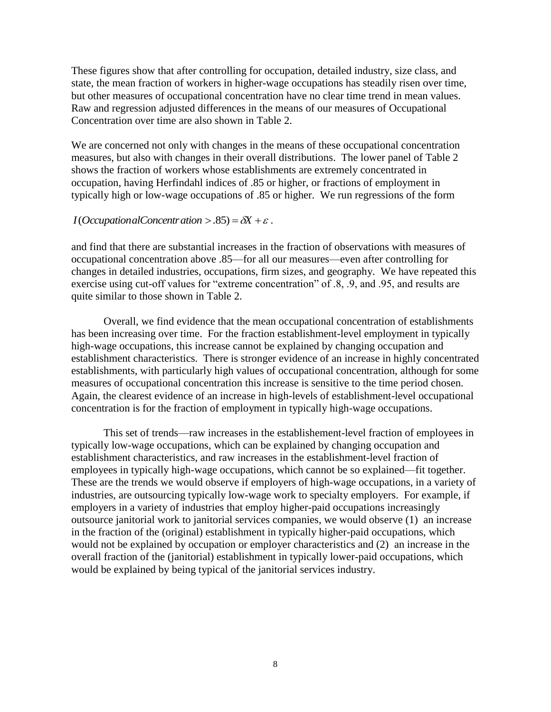These figures show that after controlling for occupation, detailed industry, size class, and state, the mean fraction of workers in higher-wage occupations has steadily risen over time, but other measures of occupational concentration have no clear time trend in mean values. Raw and regression adjusted differences in the means of our measures of Occupational Concentration over time are also shown in Table 2.

We are concerned not only with changes in the means of these occupational concentration measures, but also with changes in their overall distributions. The lower panel of Table 2 shows the fraction of workers whose establishments are extremely concentrated in occupation, having Herfindahl indices of .85 or higher, or fractions of employment in typically high or low-wage occupations of .85 or higher. We run regressions of the form

## *I*(*OccupationalConcentration* > .85) =  $\delta X + \varepsilon$ .

and find that there are substantial increases in the fraction of observations with measures of occupational concentration above .85—for all our measures—even after controlling for changes in detailed industries, occupations, firm sizes, and geography. We have repeated this exercise using cut-off values for "extreme concentration" of .8, .9, and .95, and results are quite similar to those shown in Table 2.

Overall, we find evidence that the mean occupational concentration of establishments has been increasing over time. For the fraction establishment-level employment in typically high-wage occupations, this increase cannot be explained by changing occupation and establishment characteristics. There is stronger evidence of an increase in highly concentrated establishments, with particularly high values of occupational concentration, although for some measures of occupational concentration this increase is sensitive to the time period chosen. Again, the clearest evidence of an increase in high-levels of establishment-level occupational concentration is for the fraction of employment in typically high-wage occupations.

This set of trends—raw increases in the establishement-level fraction of employees in typically low-wage occupations, which can be explained by changing occupation and establishment characteristics, and raw increases in the establishment-level fraction of employees in typically high-wage occupations, which cannot be so explained—fit together. These are the trends we would observe if employers of high-wage occupations, in a variety of industries, are outsourcing typically low-wage work to specialty employers. For example, if employers in a variety of industries that employ higher-paid occupations increasingly outsource janitorial work to janitorial services companies, we would observe (1) an increase in the fraction of the (original) establishment in typically higher-paid occupations, which would not be explained by occupation or employer characteristics and (2) an increase in the overall fraction of the (janitorial) establishment in typically lower-paid occupations, which would be explained by being typical of the janitorial services industry.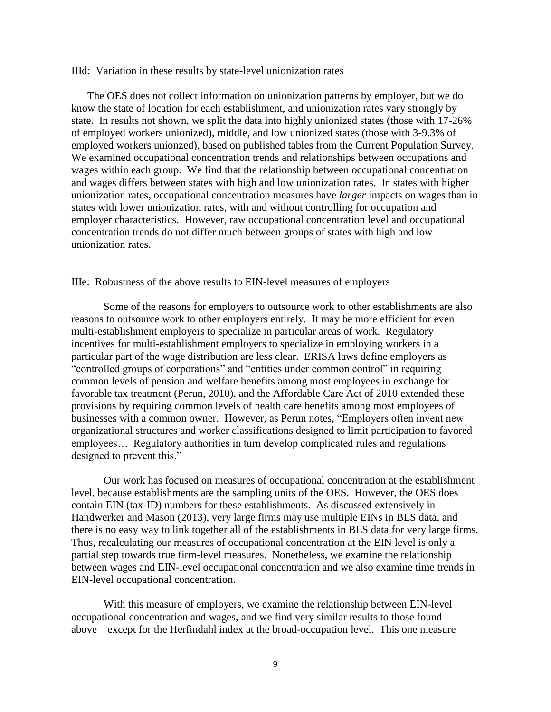#### IIId: Variation in these results by state-level unionization rates

The OES does not collect information on unionization patterns by employer, but we do know the state of location for each establishment, and unionization rates vary strongly by state. In results not shown, we split the data into highly unionized states (those with 17-26% of employed workers unionized), middle, and low unionized states (those with 3-9.3% of employed workers unionzed), based on published tables from the Current Population Survey. We examined occupational concentration trends and relationships between occupations and wages within each group. We find that the relationship between occupational concentration and wages differs between states with high and low unionization rates. In states with higher unionization rates, occupational concentration measures have *larger* impacts on wages than in states with lower unionization rates, with and without controlling for occupation and employer characteristics. However, raw occupational concentration level and occupational concentration trends do not differ much between groups of states with high and low unionization rates.

## IIIe: Robustness of the above results to EIN-level measures of employers

 Some of the reasons for employers to outsource work to other establishments are also reasons to outsource work to other employers entirely. It may be more efficient for even multi-establishment employers to specialize in particular areas of work. Regulatory incentives for multi-establishment employers to specialize in employing workers in a particular part of the wage distribution are less clear. ERISA laws define employers as "controlled groups of corporations" and "entities under common control" in requiring common levels of pension and welfare benefits among most employees in exchange for favorable tax treatment (Perun, 2010), and the Affordable Care Act of 2010 extended these provisions by requiring common levels of health care benefits among most employees of businesses with a common owner. However, as Perun notes, "Employers often invent new organizational structures and worker classifications designed to limit participation to favored employees… Regulatory authorities in turn develop complicated rules and regulations designed to prevent this."

 Our work has focused on measures of occupational concentration at the establishment level, because establishments are the sampling units of the OES. However, the OES does contain EIN (tax-ID) numbers for these establishments. As discussed extensively in Handwerker and Mason (2013), very large firms may use multiple EINs in BLS data, and there is no easy way to link together all of the establishments in BLS data for very large firms. Thus, recalculating our measures of occupational concentration at the EIN level is only a partial step towards true firm-level measures. Nonetheless, we examine the relationship between wages and EIN-level occupational concentration and we also examine time trends in EIN-level occupational concentration.

 With this measure of employers, we examine the relationship between EIN-level occupational concentration and wages, and we find very similar results to those found above—except for the Herfindahl index at the broad-occupation level. This one measure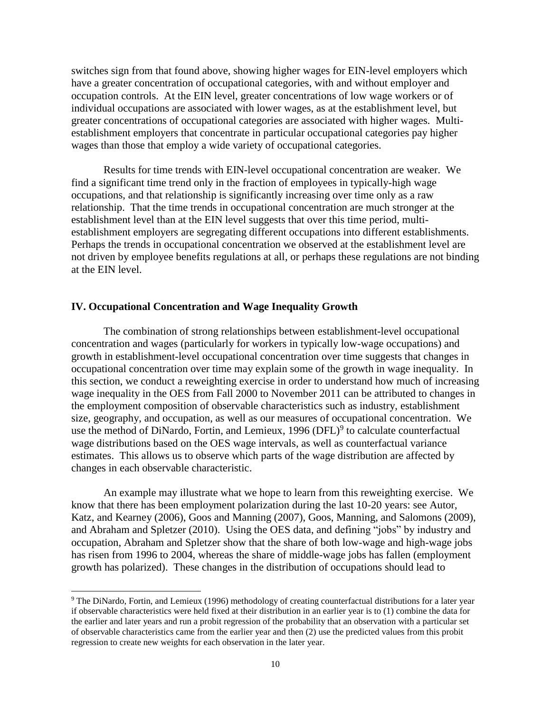switches sign from that found above, showing higher wages for EIN-level employers which have a greater concentration of occupational categories, with and without employer and occupation controls. At the EIN level, greater concentrations of low wage workers or of individual occupations are associated with lower wages, as at the establishment level, but greater concentrations of occupational categories are associated with higher wages. Multiestablishment employers that concentrate in particular occupational categories pay higher wages than those that employ a wide variety of occupational categories.

Results for time trends with EIN-level occupational concentration are weaker. We find a significant time trend only in the fraction of employees in typically-high wage occupations, and that relationship is significantly increasing over time only as a raw relationship. That the time trends in occupational concentration are much stronger at the establishment level than at the EIN level suggests that over this time period, multiestablishment employers are segregating different occupations into different establishments. Perhaps the trends in occupational concentration we observed at the establishment level are not driven by employee benefits regulations at all, or perhaps these regulations are not binding at the EIN level.

## **IV. Occupational Concentration and Wage Inequality Growth**

 $\overline{a}$ 

The combination of strong relationships between establishment-level occupational concentration and wages (particularly for workers in typically low-wage occupations) and growth in establishment-level occupational concentration over time suggests that changes in occupational concentration over time may explain some of the growth in wage inequality. In this section, we conduct a reweighting exercise in order to understand how much of increasing wage inequality in the OES from Fall 2000 to November 2011 can be attributed to changes in the employment composition of observable characteristics such as industry, establishment size, geography, and occupation, as well as our measures of occupational concentration. We use the method of DiNardo, Fortin, and Lemieux, 1996 (DFL)<sup>9</sup> to calculate counterfactual wage distributions based on the OES wage intervals, as well as counterfactual variance estimates. This allows us to observe which parts of the wage distribution are affected by changes in each observable characteristic.

An example may illustrate what we hope to learn from this reweighting exercise. We know that there has been employment polarization during the last 10-20 years: see Autor, Katz, and Kearney (2006), Goos and Manning (2007), Goos, Manning, and Salomons (2009), and Abraham and Spletzer (2010). Using the OES data, and defining "jobs" by industry and occupation, Abraham and Spletzer show that the share of both low-wage and high-wage jobs has risen from 1996 to 2004, whereas the share of middle-wage jobs has fallen (employment growth has polarized). These changes in the distribution of occupations should lead to

<sup>&</sup>lt;sup>9</sup> The DiNardo, Fortin, and Lemieux (1996) methodology of creating counterfactual distributions for a later year if observable characteristics were held fixed at their distribution in an earlier year is to (1) combine the data for the earlier and later years and run a probit regression of the probability that an observation with a particular set of observable characteristics came from the earlier year and then (2) use the predicted values from this probit regression to create new weights for each observation in the later year.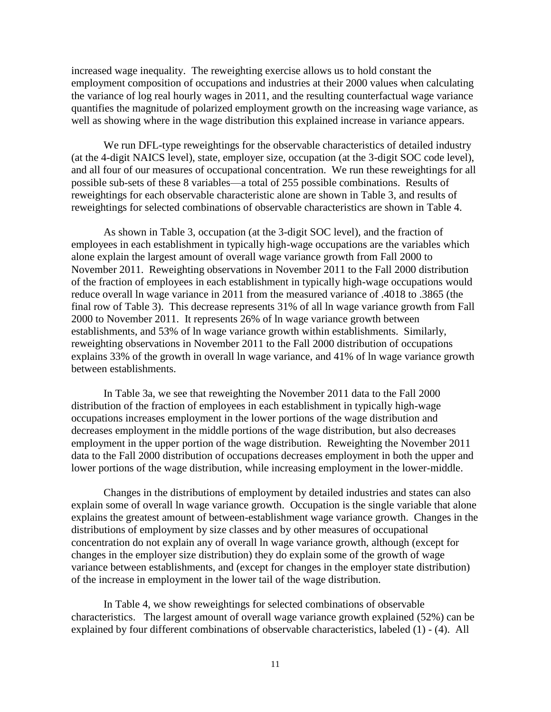increased wage inequality. The reweighting exercise allows us to hold constant the employment composition of occupations and industries at their 2000 values when calculating the variance of log real hourly wages in 2011, and the resulting counterfactual wage variance quantifies the magnitude of polarized employment growth on the increasing wage variance, as well as showing where in the wage distribution this explained increase in variance appears.

We run DFL-type reweightings for the observable characteristics of detailed industry (at the 4-digit NAICS level), state, employer size, occupation (at the 3-digit SOC code level), and all four of our measures of occupational concentration. We run these reweightings for all possible sub-sets of these 8 variables—a total of 255 possible combinations. Results of reweightings for each observable characteristic alone are shown in Table 3, and results of reweightings for selected combinations of observable characteristics are shown in Table 4.

As shown in Table 3, occupation (at the 3-digit SOC level), and the fraction of employees in each establishment in typically high-wage occupations are the variables which alone explain the largest amount of overall wage variance growth from Fall 2000 to November 2011. Reweighting observations in November 2011 to the Fall 2000 distribution of the fraction of employees in each establishment in typically high-wage occupations would reduce overall ln wage variance in 2011 from the measured variance of .4018 to .3865 (the final row of Table 3). This decrease represents 31% of all ln wage variance growth from Fall 2000 to November 2011. It represents 26% of ln wage variance growth between establishments, and 53% of ln wage variance growth within establishments. Similarly, reweighting observations in November 2011 to the Fall 2000 distribution of occupations explains 33% of the growth in overall ln wage variance, and 41% of ln wage variance growth between establishments.

In Table 3a, we see that reweighting the November 2011 data to the Fall 2000 distribution of the fraction of employees in each establishment in typically high-wage occupations increases employment in the lower portions of the wage distribution and decreases employment in the middle portions of the wage distribution, but also decreases employment in the upper portion of the wage distribution. Reweighting the November 2011 data to the Fall 2000 distribution of occupations decreases employment in both the upper and lower portions of the wage distribution, while increasing employment in the lower-middle.

Changes in the distributions of employment by detailed industries and states can also explain some of overall ln wage variance growth. Occupation is the single variable that alone explains the greatest amount of between-establishment wage variance growth. Changes in the distributions of employment by size classes and by other measures of occupational concentration do not explain any of overall ln wage variance growth, although (except for changes in the employer size distribution) they do explain some of the growth of wage variance between establishments, and (except for changes in the employer state distribution) of the increase in employment in the lower tail of the wage distribution.

In Table 4, we show reweightings for selected combinations of observable characteristics. The largest amount of overall wage variance growth explained (52%) can be explained by four different combinations of observable characteristics, labeled (1) - (4). All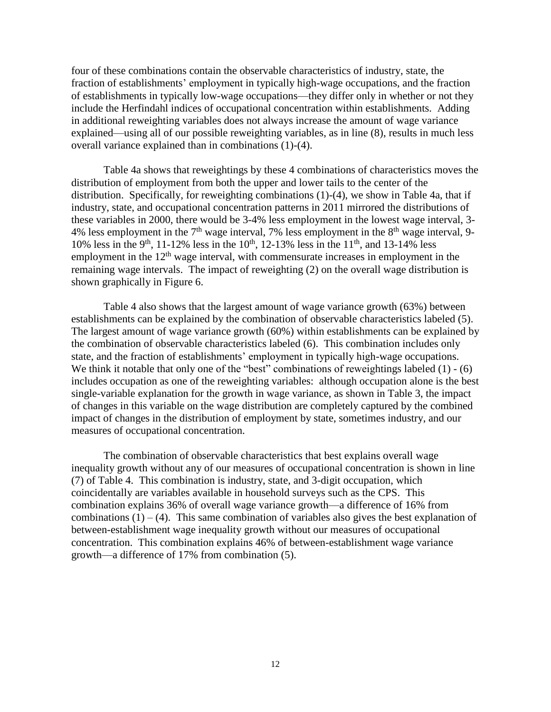four of these combinations contain the observable characteristics of industry, state, the fraction of establishments' employment in typically high-wage occupations, and the fraction of establishments in typically low-wage occupations—they differ only in whether or not they include the Herfindahl indices of occupational concentration within establishments. Adding in additional reweighting variables does not always increase the amount of wage variance explained—using all of our possible reweighting variables, as in line (8), results in much less overall variance explained than in combinations (1)-(4).

Table 4a shows that reweightings by these 4 combinations of characteristics moves the distribution of employment from both the upper and lower tails to the center of the distribution. Specifically, for reweighting combinations (1)-(4), we show in Table 4a, that if industry, state, and occupational concentration patterns in 2011 mirrored the distributions of these variables in 2000, there would be 3-4% less employment in the lowest wage interval, 3- 4% less employment in the  $7<sup>th</sup>$  wage interval, 7% less employment in the  $8<sup>th</sup>$  wage interval, 9-10% less in the 9<sup>th</sup>, 11-12% less in the 10<sup>th</sup>, 12-13% less in the 11<sup>th</sup>, and 13-14% less employment in the  $12<sup>th</sup>$  wage interval, with commensurate increases in employment in the remaining wage intervals. The impact of reweighting (2) on the overall wage distribution is shown graphically in Figure 6.

Table 4 also shows that the largest amount of wage variance growth (63%) between establishments can be explained by the combination of observable characteristics labeled (5). The largest amount of wage variance growth (60%) within establishments can be explained by the combination of observable characteristics labeled (6). This combination includes only state, and the fraction of establishments' employment in typically high-wage occupations. We think it notable that only one of the "best" combinations of reweightings labeled  $(1)$  - (6) includes occupation as one of the reweighting variables: although occupation alone is the best single-variable explanation for the growth in wage variance, as shown in Table 3, the impact of changes in this variable on the wage distribution are completely captured by the combined impact of changes in the distribution of employment by state, sometimes industry, and our measures of occupational concentration.

The combination of observable characteristics that best explains overall wage inequality growth without any of our measures of occupational concentration is shown in line (7) of Table 4. This combination is industry, state, and 3-digit occupation, which coincidentally are variables available in household surveys such as the CPS. This combination explains 36% of overall wage variance growth—a difference of 16% from combinations  $(1) - (4)$ . This same combination of variables also gives the best explanation of between-establishment wage inequality growth without our measures of occupational concentration. This combination explains 46% of between-establishment wage variance growth—a difference of 17% from combination (5).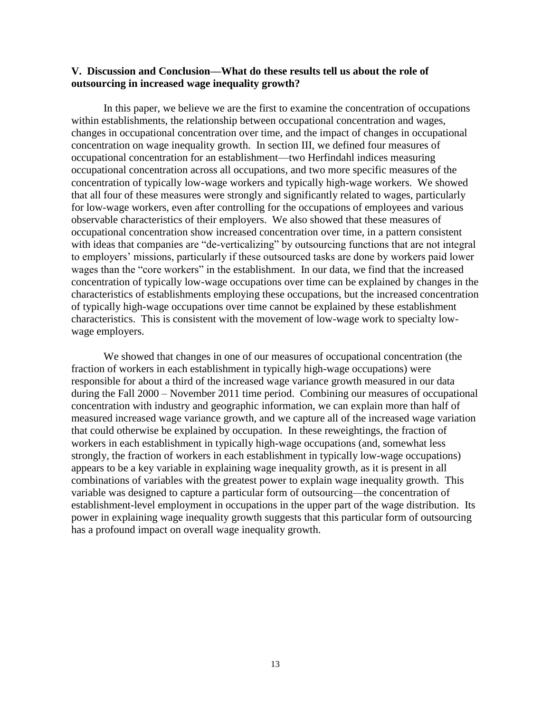## **V. Discussion and Conclusion—What do these results tell us about the role of outsourcing in increased wage inequality growth?**

In this paper, we believe we are the first to examine the concentration of occupations within establishments, the relationship between occupational concentration and wages, changes in occupational concentration over time, and the impact of changes in occupational concentration on wage inequality growth. In section III, we defined four measures of occupational concentration for an establishment—two Herfindahl indices measuring occupational concentration across all occupations, and two more specific measures of the concentration of typically low-wage workers and typically high-wage workers. We showed that all four of these measures were strongly and significantly related to wages, particularly for low-wage workers, even after controlling for the occupations of employees and various observable characteristics of their employers. We also showed that these measures of occupational concentration show increased concentration over time, in a pattern consistent with ideas that companies are "de-verticalizing" by outsourcing functions that are not integral to employers' missions, particularly if these outsourced tasks are done by workers paid lower wages than the "core workers" in the establishment. In our data, we find that the increased concentration of typically low-wage occupations over time can be explained by changes in the characteristics of establishments employing these occupations, but the increased concentration of typically high-wage occupations over time cannot be explained by these establishment characteristics. This is consistent with the movement of low-wage work to specialty lowwage employers.

We showed that changes in one of our measures of occupational concentration (the fraction of workers in each establishment in typically high-wage occupations) were responsible for about a third of the increased wage variance growth measured in our data during the Fall 2000 – November 2011 time period. Combining our measures of occupational concentration with industry and geographic information, we can explain more than half of measured increased wage variance growth, and we capture all of the increased wage variation that could otherwise be explained by occupation. In these reweightings, the fraction of workers in each establishment in typically high-wage occupations (and, somewhat less strongly, the fraction of workers in each establishment in typically low-wage occupations) appears to be a key variable in explaining wage inequality growth, as it is present in all combinations of variables with the greatest power to explain wage inequality growth. This variable was designed to capture a particular form of outsourcing—the concentration of establishment-level employment in occupations in the upper part of the wage distribution. Its power in explaining wage inequality growth suggests that this particular form of outsourcing has a profound impact on overall wage inequality growth.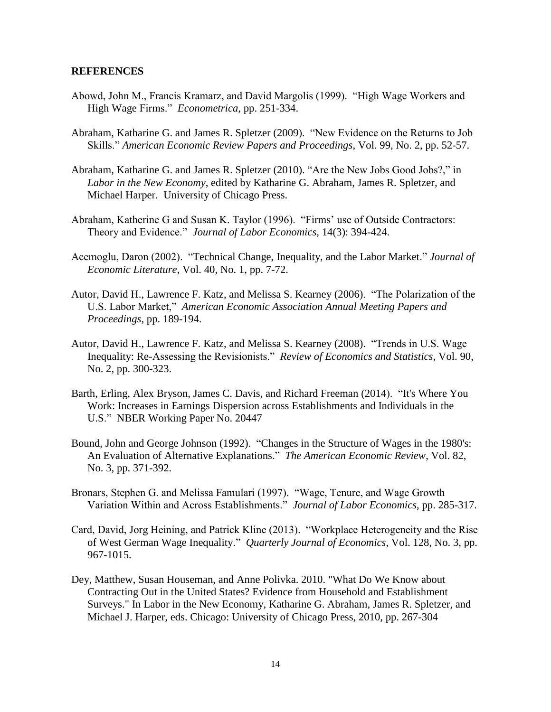### **REFERENCES**

- Abowd, John M., Francis Kramarz, and David Margolis (1999). "High Wage Workers and High Wage Firms." *Econometrica*, pp. 251-334.
- Abraham, Katharine G. and James R. Spletzer (2009). "New Evidence on the Returns to Job Skills." *American Economic Review Papers and Proceedings*, Vol. 99, No. 2, pp. 52-57.
- Abraham, Katharine G. and James R. Spletzer (2010). "Are the New Jobs Good Jobs?," in *Labor in the New Economy*, edited by Katharine G. Abraham, James R. Spletzer, and Michael Harper. University of Chicago Press.
- Abraham, Katherine G and Susan K. Taylor (1996). "Firms' use of Outside Contractors: Theory and Evidence." *Journal of Labor Economics,* 14(3): 394-424.
- Acemoglu, Daron (2002). ["Technical Change, Inequality, and the Labor Market.](http://www.jstor.org/stable/2698593)" *[Journal of](http://www.jstor.org/action/showPublication?journalCode=jeconlite)  [Economic Literature](http://www.jstor.org/action/showPublication?journalCode=jeconlite)*, Vol. 40, No. 1, pp. 7-72.
- Autor, David H., Lawrence F. Katz, and Melissa S. Kearney (2006). "The Polarization of the U.S. Labor Market," *American Economic Association Annual Meeting Papers and Proceedings*, pp. 189-194.
- Autor, David H., Lawrence F. Katz, and Melissa S. Kearney (2008). "Trends in U.S. Wage Inequality: Re-Assessing the Revisionists." *Review of Economics and Statistics*, Vol. 90, No. 2, pp. 300-323.
- Barth, Erling, Alex Bryson, James C. Davis, and Richard Freeman (2014). "It's Where You Work: Increases in Earnings Dispersion across Establishments and Individuals in the U.S." NBER Working Paper No. 20447
- Bound, John and George Johnson (1992). "Changes in the Structure of Wages in the 1980's: An Evaluation of Alternative Explanations." *The American Economic Review*, Vol. 82, No. 3, pp. 371-392.
- Bronars, Stephen G. and Melissa Famulari (1997). "Wage, Tenure, and Wage Growth Variation Within and Across Establishments." *Journal of Labor Economics*, pp. 285-317.
- Card, David, Jorg Heining, and Patrick Kline (2013). "Workplace Heterogeneity and the Rise of West German Wage Inequality." *Quarterly Journal of Economics*, Vol. 128, No. 3, pp. 967-1015.
- Dey, Matthew, Susan Houseman, and Anne Polivka. 2010. "What Do We Know about Contracting Out in the United States? Evidence from Household and Establishment Surveys." In Labor in the New Economy, Katharine G. Abraham, James R. Spletzer, and Michael J. Harper, eds. Chicago: University of Chicago Press, 2010, pp. 267-304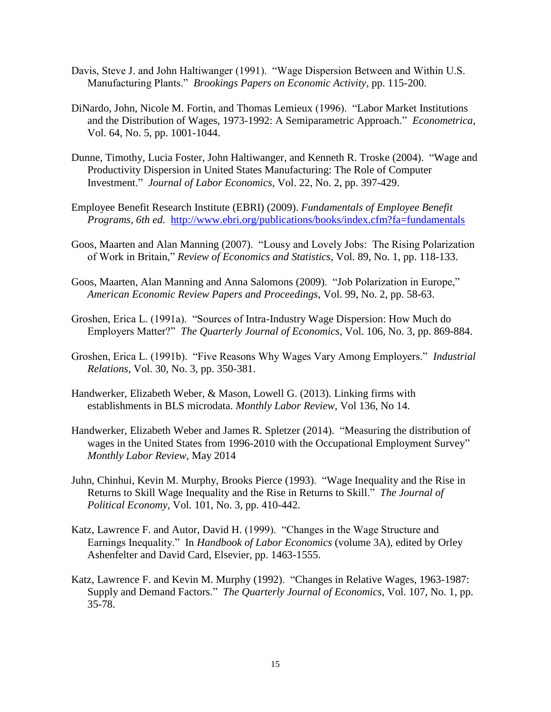- Davis, Steve J. and John Haltiwanger (1991). "Wage Dispersion Between and Within U.S. Manufacturing Plants." *Brookings Papers on Economic Activity*, pp. 115-200.
- DiNardo, John, [Nicole M. Fortin,](http://www.jstor.org/action/doBasicSearch?Query=au%3A%22Nicole+M.+Fortin%22&wc=on) and [Thomas Lemieux](http://www.jstor.org/action/doBasicSearch?Query=au%3A%22Thomas+Lemieux%22&wc=on) (1996). "Labor Market Institutions and the Distribution of Wages, 1973-1992: A Semiparametric Approach." *Econometrica*, Vol. 64, No. 5, pp. 1001-1044.
- Dunne, [Timothy,](http://www.jstor.org/action/doBasicSearch?Query=au%3A%22Timothy+Dunne%22&wc=on) [Lucia Foster,](http://www.jstor.org/action/doBasicSearch?Query=au%3A%22Lucia+Foster%22&wc=on) [John Haltiwanger,](http://www.jstor.org/action/doBasicSearch?Query=au%3A%22John+Haltiwanger%22&wc=on) and [Kenneth R. Troske](http://www.jstor.org/action/doBasicSearch?Query=au%3A%22Kenneth+R.+Troske%22&wc=on) (2004). "Wage and Productivity Dispersion in United States Manufacturing: The Role of Computer Investment." *Journal of Labor Economics*, Vol. 22, No. 2, pp. 397-429.
- Employee Benefit Research Institute (EBRI) (2009). *Fundamentals of Employee Benefit Programs, 6th ed.* <http://www.ebri.org/publications/books/index.cfm?fa=fundamentals>
- Goos, Maarten and Alan Manning (2007). "Lousy and Lovely Jobs: The Rising Polarization of Work in Britain," *Review of Economics and Statistics*, Vol. 89, No. 1, pp. 118-133.
- Goos, Maarten, Alan Manning and Anna Salomons (2009). "Job Polarization in Europe," *American Economic Review Papers and Proceedings*, Vol. 99, No. 2, pp. 58-63.
- Groshen, Erica L. (1991a). "Sources of Intra-Industry Wage Dispersion: How Much do Employers Matter?" *The Quarterly Journal of Economics*, Vol. 106, No. 3, pp. 869-884.
- Groshen, Erica L. (1991b). "Five Reasons Why Wages Vary Among Employers." *Industrial Relations*, Vol. 30, No. 3, pp. 350-381.
- Handwerker, Elizabeth Weber, & Mason, Lowell G. (2013). Linking firms with establishments in BLS microdata. *Monthly Labor Review*, Vol 136, No 14.
- Handwerker, Elizabeth Weber and James R. Spletzer (2014). "Measuring the distribution of wages in the United States from 1996-2010 with the Occupational Employment Survey" *Monthly Labor Review*, May 2014
- Juhn, [Chinhui,](http://www.jstor.org/action/doBasicSearch?Query=au%3A%22Chinhui+Juhn%22&wc=on) [Kevin M. Murphy,](http://www.jstor.org/action/doBasicSearch?Query=au%3A%22Kevin+M.+Murphy%22&wc=on) [Brooks Pierce](http://www.jstor.org/action/doBasicSearch?Query=au%3A%22Brooks+Pierce%22&wc=on) (1993). "Wage Inequality and the Rise in Returns to Skill [Wage Inequality and the Rise in Returns to Skill.](http://www.jstor.org/stable/2138770?&Search=yes&term=pierce&term=juhn&term=murphy&list=hide&searchUri=%2Faction%2FdoAdvancedSearch%3Fq0%3Djuhn%26f0%3Dau%26c0%3DAND%26q1%3Dmurphy%26f1%3Dau%26c1%3DAND%26q2%3Dpierce%26f2%3Dau%26c2%3DAND%26q3%3D%26f3%3Dall%26wc%3Don%26Search%3DSearch%26sd%3D%26ed%3D%26la%3D%26jo%3D&item=1&ttl=1&returnArticleService=showArticle)" *The Journal of Political Economy*, Vol. 101, No. 3, pp. 410-442.
- Katz, Lawrence F. and Autor, David H. (1999). "Changes in the Wage Structure and Earnings Inequality." In *Handbook of Labor Economics* (volume 3A), edited by Orley Ashenfelter and David Card, Elsevier, pp. 1463-1555.
- Katz, [Lawrence F.](http://www.jstor.org/action/doBasicSearch?Query=au%3A%22Lawrence+F.+Katz%22&wc=on) and [Kevin M. Murphy](http://www.jstor.org/action/doBasicSearch?Query=au%3A%22Kevin+M.+Murphy%22&wc=on) (1992). "Changes in Relative Wages, 1963-1987: Supply and Demand Factors." *The Quarterly Journal of Economics*, Vol. 107, No. 1, pp. 35-78.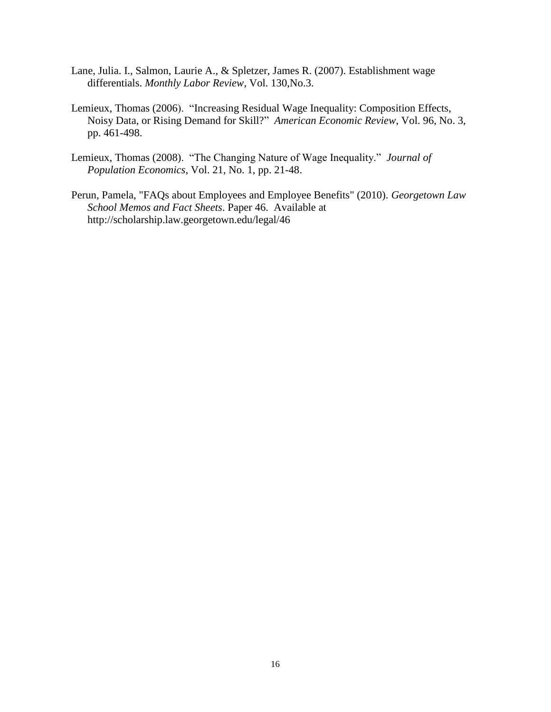- Lane, Julia. I., Salmon, Laurie A., & Spletzer, James R. (2007). Establishment wage differentials. *Monthly Labor Review*, Vol. 130,No.3.
- Lemieux, Thomas (2006). "Increasing Residual Wage Inequality: Composition Effects, Noisy Data, or Rising Demand for Skill?" *American Economic Review*, Vol. 96, No. 3, pp. 461-498.
- Lemieux, Thomas (2008). "The Changing Nature of Wage Inequality." *Journal of Population Economics*, Vol. 21, No. 1, pp. 21-48.
- Perun, Pamela, "FAQs about Employees and Employee Benefits" (2010). *Georgetown Law School Memos and Fact Sheets*. Paper 46. Available at http://scholarship.law.georgetown.edu/legal/46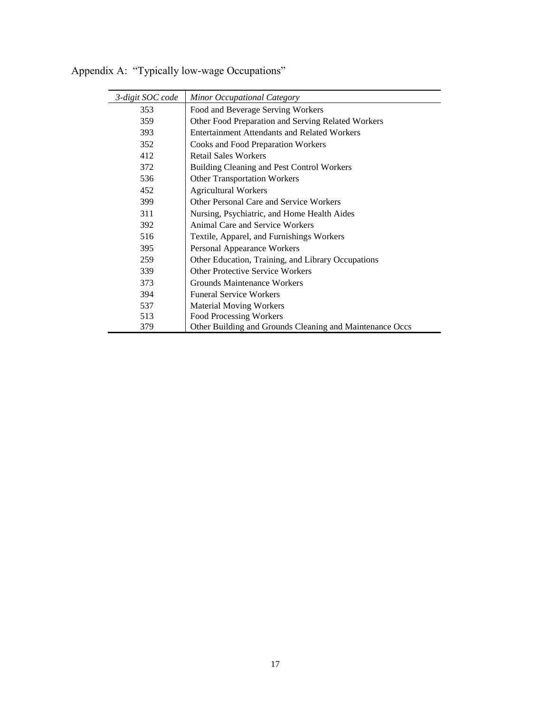| 3-digit SOC code | Minor Occupational Category                              |
|------------------|----------------------------------------------------------|
| 353              | Food and Beverage Serving Workers                        |
| 359              | Other Food Preparation and Serving Related Workers       |
| 393              | <b>Entertainment Attendants and Related Workers</b>      |
| 352              | Cooks and Food Preparation Workers                       |
| 412              | <b>Retail Sales Workers</b>                              |
| 372              | Building Cleaning and Pest Control Workers               |
| 536              | <b>Other Transportation Workers</b>                      |
| 452              | <b>Agricultural Workers</b>                              |
| 399              | Other Personal Care and Service Workers                  |
| 311              | Nursing, Psychiatric, and Home Health Aides              |
| 392              | <b>Animal Care and Service Workers</b>                   |
| 516              | Textile, Apparel, and Furnishings Workers                |
| 395              | Personal Appearance Workers                              |
| 259              | Other Education, Training, and Library Occupations       |
| 339              | <b>Other Protective Service Workers</b>                  |
| 373              | Grounds Maintenance Workers                              |
| 394              | <b>Funeral Service Workers</b>                           |
| 537              | <b>Material Moving Workers</b>                           |
| 513              | Food Processing Workers                                  |
| 379              | Other Building and Grounds Cleaning and Maintenance Occs |

Appendix A: "Typically low-wage Occupations"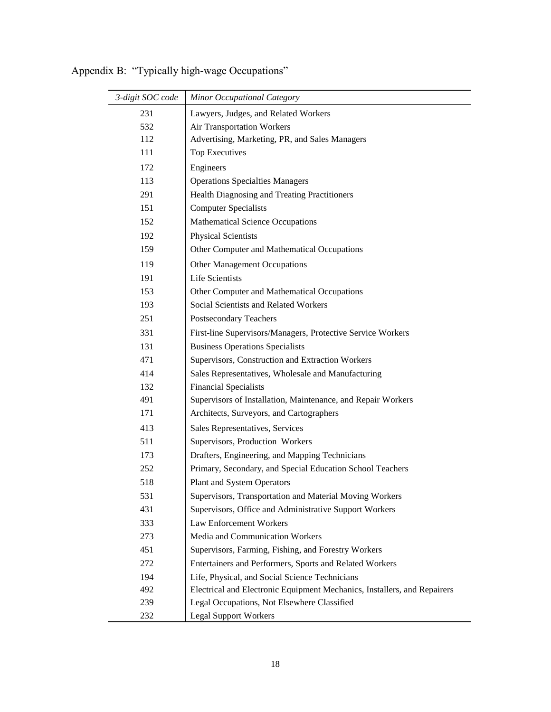| 3-digit SOC code | Minor Occupational Category                                              |
|------------------|--------------------------------------------------------------------------|
| 231              | Lawyers, Judges, and Related Workers                                     |
| 532              | Air Transportation Workers                                               |
| 112              | Advertising, Marketing, PR, and Sales Managers                           |
| 111              | <b>Top Executives</b>                                                    |
| 172              | Engineers                                                                |
| 113              | <b>Operations Specialties Managers</b>                                   |
| 291              | Health Diagnosing and Treating Practitioners                             |
| 151              | <b>Computer Specialists</b>                                              |
| 152              | <b>Mathematical Science Occupations</b>                                  |
| 192              | <b>Physical Scientists</b>                                               |
| 159              | Other Computer and Mathematical Occupations                              |
| 119              | <b>Other Management Occupations</b>                                      |
| 191              | <b>Life Scientists</b>                                                   |
| 153              | Other Computer and Mathematical Occupations                              |
| 193              | Social Scientists and Related Workers                                    |
| 251              | Postsecondary Teachers                                                   |
| 331              | First-line Supervisors/Managers, Protective Service Workers              |
| 131              | <b>Business Operations Specialists</b>                                   |
| 471              | Supervisors, Construction and Extraction Workers                         |
| 414              | Sales Representatives, Wholesale and Manufacturing                       |
| 132              | <b>Financial Specialists</b>                                             |
| 491              | Supervisors of Installation, Maintenance, and Repair Workers             |
| 171              | Architects, Surveyors, and Cartographers                                 |
| 413              | Sales Representatives, Services                                          |
| 511              | Supervisors, Production Workers                                          |
| 173              | Drafters, Engineering, and Mapping Technicians                           |
| 252              | Primary, Secondary, and Special Education School Teachers                |
| 518              | Plant and System Operators                                               |
| 531              | Supervisors, Transportation and Material Moving Workers                  |
| 431              | Supervisors, Office and Administrative Support Workers                   |
| 333              | Law Enforcement Workers                                                  |
| 273              | Media and Communication Workers                                          |
| 451              | Supervisors, Farming, Fishing, and Forestry Workers                      |
| 272              | Entertainers and Performers, Sports and Related Workers                  |
| 194              | Life, Physical, and Social Science Technicians                           |
| 492              | Electrical and Electronic Equipment Mechanics, Installers, and Repairers |
| 239              | Legal Occupations, Not Elsewhere Classified                              |
| 232              | <b>Legal Support Workers</b>                                             |

Appendix B: "Typically high-wage Occupations"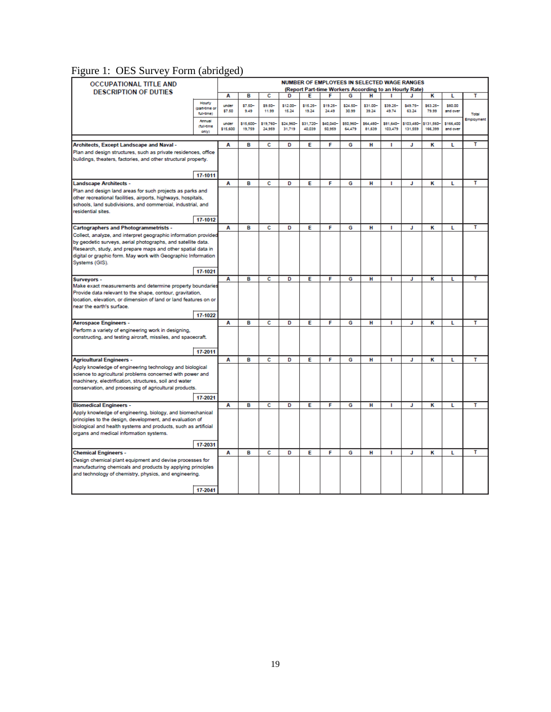# Figure 1: OES Survey Form (abridged)

| <b>OCCUPATIONAL TITLE AND</b>                                                                                       |                             |                   |                    |                    |                     |                     |                     |                     |                     |                      | NUMBER OF EMPLOYEES IN SELECTED WAGE RANGES |                    |                       |            |
|---------------------------------------------------------------------------------------------------------------------|-----------------------------|-------------------|--------------------|--------------------|---------------------|---------------------|---------------------|---------------------|---------------------|----------------------|---------------------------------------------|--------------------|-----------------------|------------|
| (Report Part-time Workers According to an Hourly Rate)<br><b>DESCRIPTION OF DUTIES</b>                              |                             |                   |                    |                    |                     |                     |                     |                     |                     |                      |                                             |                    |                       |            |
|                                                                                                                     |                             | A                 | в                  | c                  | D                   | Е                   | F                   | G                   | н                   | ٠                    | J                                           | κ                  | L                     | т          |
|                                                                                                                     | Hourly                      | under             | \$7.50-            | \$9.50-            | \$12.00             | \$15.25-            | \$19.25-            | \$24,50             | \$31.00             | \$39.25              | \$49.75-                                    | \$63.25-           | \$80.00               |            |
|                                                                                                                     | (part-time or<br>full time) | \$7.50            | 9.49               | 11.99              | 15.24               | 19.24               | 24.49               | 30.99               | 39.24               | 49.74                | 63.24                                       | 79.99              | and over              | Total      |
|                                                                                                                     | Annual                      |                   |                    |                    |                     |                     |                     |                     |                     |                      |                                             |                    |                       | Employment |
|                                                                                                                     | <b>Chall time</b>           | under<br>\$15,600 | \$15,600<br>19,759 | \$19,760<br>24,959 | \$24,960-<br>31,719 | \$31,720-<br>40,039 | \$40,040-<br>50,959 | \$50,960-<br>64,479 | \$64,480-<br>81,639 | \$81,640-<br>103,479 | 103,480-<br>131,559                         | 131,560<br>166,399 | \$166,400<br>and over |            |
|                                                                                                                     | only)                       |                   |                    |                    |                     |                     |                     |                     |                     |                      |                                             |                    |                       |            |
|                                                                                                                     |                             |                   |                    |                    |                     |                     |                     |                     |                     |                      |                                             |                    |                       |            |
| Architects, Except Landscape and Naval -                                                                            |                             | A                 | R                  | c                  | D                   | Е                   | F                   | G                   | н                   | п                    | J                                           | к                  | L                     | т          |
| Plan and design structures, such as private residences, office                                                      |                             |                   |                    |                    |                     |                     |                     |                     |                     |                      |                                             |                    |                       |            |
| buildings, theaters, factories, and other structural property.                                                      |                             |                   |                    |                    |                     |                     |                     |                     |                     |                      |                                             |                    |                       |            |
|                                                                                                                     |                             |                   |                    |                    |                     |                     |                     |                     |                     |                      |                                             |                    |                       |            |
|                                                                                                                     | 17-1011                     |                   |                    |                    |                     |                     |                     |                     |                     |                      |                                             |                    |                       |            |
| <b>Landscape Architects -</b>                                                                                       |                             | A                 | в                  | с                  | D                   | Е                   | F                   | G                   | н                   | п                    | J                                           | к                  | L                     | т          |
| Plan and design land areas for such projects as parks and                                                           |                             |                   |                    |                    |                     |                     |                     |                     |                     |                      |                                             |                    |                       |            |
| other recreational facilities, airports, highways, hospitals,                                                       |                             |                   |                    |                    |                     |                     |                     |                     |                     |                      |                                             |                    |                       |            |
| schools, land subdivisions, and commercial, industrial, and                                                         |                             |                   |                    |                    |                     |                     |                     |                     |                     |                      |                                             |                    |                       |            |
| residential sites.                                                                                                  |                             |                   |                    |                    |                     |                     |                     |                     |                     |                      |                                             |                    |                       |            |
|                                                                                                                     | 17-1012                     |                   |                    |                    |                     |                     |                     |                     |                     |                      |                                             |                    |                       |            |
| <b>Cartographers and Photogrammetrists -</b>                                                                        |                             | Α                 | в                  | c                  | D                   | Е                   | F                   | G                   | н                   | т                    | J                                           | κ                  | L                     | т          |
| Collect, analyze, and interpret geographic information provided                                                     |                             |                   |                    |                    |                     |                     |                     |                     |                     |                      |                                             |                    |                       |            |
| by geodetic surveys, aerial photographs, and satellite data.                                                        |                             |                   |                    |                    |                     |                     |                     |                     |                     |                      |                                             |                    |                       |            |
| Research, study, and prepare maps and other spatial data in                                                         |                             |                   |                    |                    |                     |                     |                     |                     |                     |                      |                                             |                    |                       |            |
| digital or graphic form. May work with Geographic Information                                                       |                             |                   |                    |                    |                     |                     |                     |                     |                     |                      |                                             |                    |                       |            |
| Systems (GIS).                                                                                                      |                             |                   |                    |                    |                     |                     |                     |                     |                     |                      |                                             |                    |                       |            |
|                                                                                                                     | 17-1021                     |                   |                    |                    |                     |                     |                     |                     |                     |                      |                                             |                    |                       |            |
| Surveyors -                                                                                                         |                             | Α                 | R                  | c                  | D                   | Е                   | F                   | G                   | н                   | п                    | J.                                          | κ                  | п                     |            |
| Make exact measurements and determine property boundaries                                                           |                             |                   |                    |                    |                     |                     |                     |                     |                     |                      |                                             |                    |                       |            |
| Provide data relevant to the shape, contour, gravitation,                                                           |                             |                   |                    |                    |                     |                     |                     |                     |                     |                      |                                             |                    |                       |            |
| location, elevation, or dimension of land or land features on or                                                    |                             |                   |                    |                    |                     |                     |                     |                     |                     |                      |                                             |                    |                       |            |
| near the earth's surface.                                                                                           |                             |                   |                    |                    |                     |                     |                     |                     |                     |                      |                                             |                    |                       |            |
|                                                                                                                     | 17-1022                     |                   |                    |                    |                     |                     |                     |                     |                     |                      |                                             |                    |                       |            |
| <b>Aerospace Engineers -</b>                                                                                        |                             | A                 | R                  | c                  | Đ                   | Е                   | F                   | G                   | н                   | п                    | J.                                          | к                  | L                     | т          |
| Perform a variety of engineering work in designing,                                                                 |                             |                   |                    |                    |                     |                     |                     |                     |                     |                      |                                             |                    |                       |            |
| constructing, and testing aircraft, missiles, and spacecraft.                                                       |                             |                   |                    |                    |                     |                     |                     |                     |                     |                      |                                             |                    |                       |            |
|                                                                                                                     |                             |                   |                    |                    |                     |                     |                     |                     |                     |                      |                                             |                    |                       |            |
|                                                                                                                     | 17-2011                     |                   |                    |                    |                     |                     |                     |                     |                     |                      |                                             |                    |                       |            |
|                                                                                                                     |                             |                   | в                  | c                  | D                   | Е                   | F                   | G                   | н                   | T.                   | J                                           | к                  | г                     | т          |
| <b>Agricultural Engineers -</b>                                                                                     |                             | A                 |                    |                    |                     |                     |                     |                     |                     |                      |                                             |                    |                       |            |
| Apply knowledge of engineering technology and biological                                                            |                             |                   |                    |                    |                     |                     |                     |                     |                     |                      |                                             |                    |                       |            |
| science to agricultural problems concerned with power and<br>machinery, electrification, structures, soil and water |                             |                   |                    |                    |                     |                     |                     |                     |                     |                      |                                             |                    |                       |            |
| conservation, and processing of agricultural products.                                                              |                             |                   |                    |                    |                     |                     |                     |                     |                     |                      |                                             |                    |                       |            |
|                                                                                                                     |                             |                   |                    |                    |                     |                     |                     |                     |                     |                      |                                             |                    |                       |            |
|                                                                                                                     | 17-2021                     |                   |                    |                    |                     |                     |                     |                     |                     |                      |                                             |                    |                       |            |
| <b>Biomedical Engineers -</b>                                                                                       |                             | Α                 | в                  | с                  | D                   | Έ                   | F                   | G                   | н                   | п                    | J                                           | к                  | L                     | т          |
| Apply knowledge of engineering, biology, and biomechanical                                                          |                             |                   |                    |                    |                     |                     |                     |                     |                     |                      |                                             |                    |                       |            |
| principles to the design, development, and evaluation of                                                            |                             |                   |                    |                    |                     |                     |                     |                     |                     |                      |                                             |                    |                       |            |
| biological and health systems and products, such as artificial                                                      |                             |                   |                    |                    |                     |                     |                     |                     |                     |                      |                                             |                    |                       |            |
| organs and medical information systems.                                                                             |                             |                   |                    |                    |                     |                     |                     |                     |                     |                      |                                             |                    |                       |            |
|                                                                                                                     | 17-2031                     |                   |                    |                    |                     |                     |                     |                     |                     |                      |                                             |                    |                       |            |
| <b>Chemical Engineers -</b>                                                                                         |                             | Α                 | B                  | c                  | D                   | Е                   | F                   | G                   | н                   | п                    | J                                           | κ                  | L                     | т          |
| Design chemical plant equipment and devise processes for                                                            |                             |                   |                    |                    |                     |                     |                     |                     |                     |                      |                                             |                    |                       |            |
| manufacturing chemicals and products by applying principles                                                         |                             |                   |                    |                    |                     |                     |                     |                     |                     |                      |                                             |                    |                       |            |
| and technology of chemistry, physics, and engineering.                                                              |                             |                   |                    |                    |                     |                     |                     |                     |                     |                      |                                             |                    |                       |            |
|                                                                                                                     |                             |                   |                    |                    |                     |                     |                     |                     |                     |                      |                                             |                    |                       |            |
|                                                                                                                     |                             |                   |                    |                    |                     |                     |                     |                     |                     |                      |                                             |                    |                       |            |
|                                                                                                                     | 17-2041                     |                   |                    |                    |                     |                     |                     |                     |                     |                      |                                             |                    |                       |            |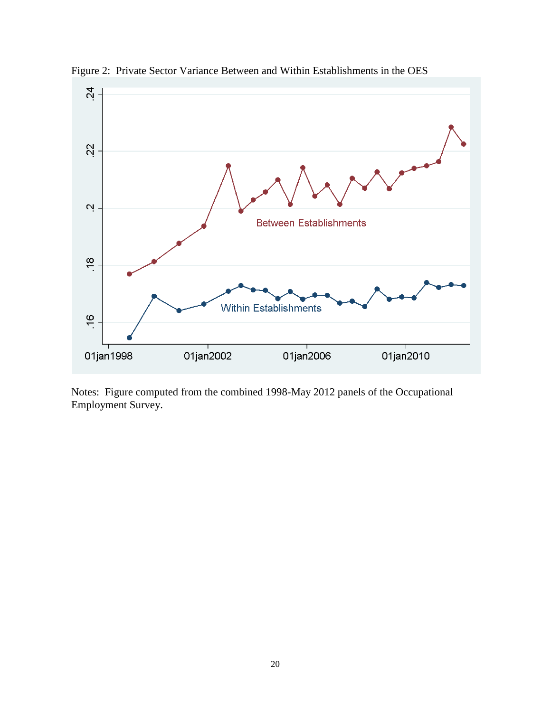

Figure 2: Private Sector Variance Between and Within Establishments in the OES

Notes: Figure computed from the combined 1998-May 2012 panels of the Occupational Employment Survey.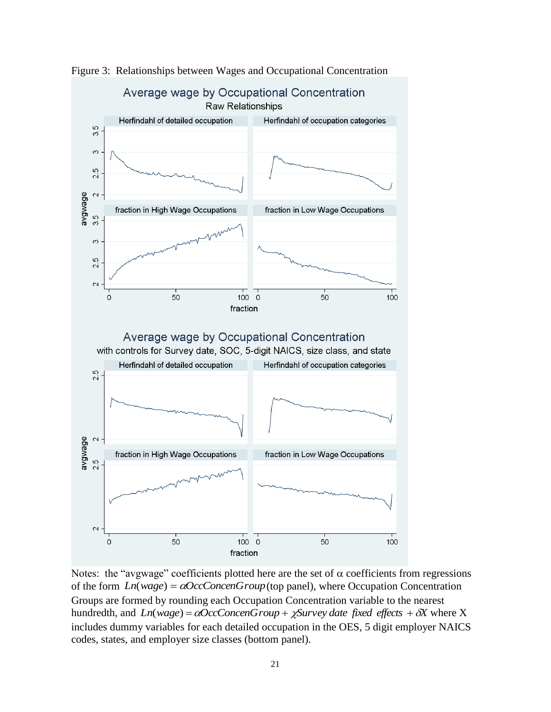

Figure 3: Relationships between Wages and Occupational Concentration

Notes: the "avgwage" coefficients plotted here are the set of  $\alpha$  coefficients from regressions of the form  $Ln(wage) = \alpha OccConcenGroup$  (top panel), where Occupation Concentration Groups are formed by rounding each Occupation Concentration variable to the nearest hundredth, and  $Ln(wage) = \alpha OccConcenGroup + \chi Survey\ date\ fixed\ effects + \delta X$  where X includes dummy variables for each detailed occupation in the OES, 5 digit employer NAICS codes, states, and employer size classes (bottom panel).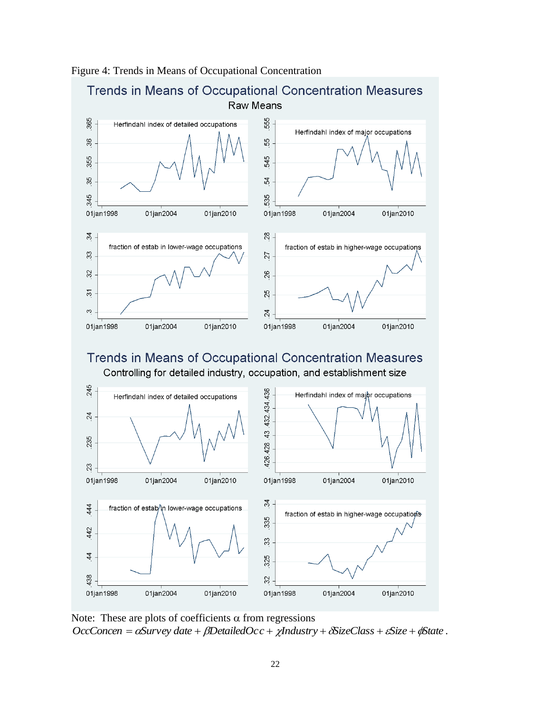



Note: These are plots of coefficients  $\alpha$  from regressions  $OccConcen = \alpha Survey\ date + \beta DetailedOcc + \chi Industry + \delta SizeClass + \epsilon Size + \phi State$ .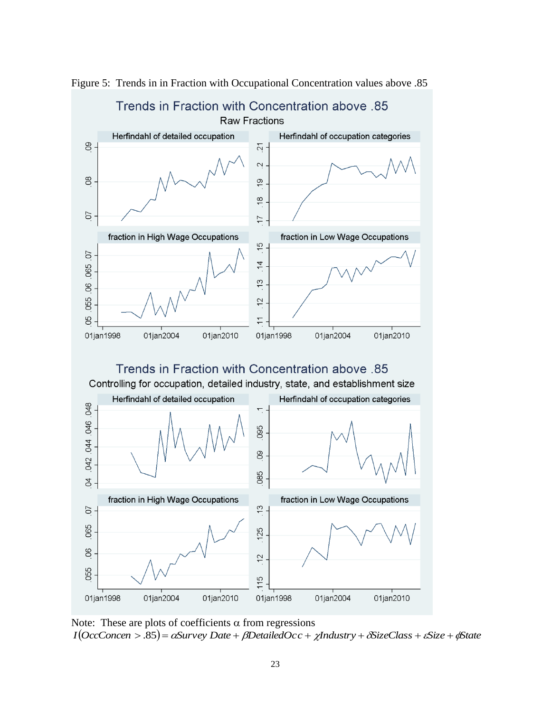

Figure 5: Trends in in Fraction with Occupational Concentration values above .85

Note: These are plots of coefficients  $\alpha$  from regressions  $I(Occconcen > .85) =  $\alpha$  Survey Date +  $\beta$  DetailedOcc +  $\chi$  Industry +  $\delta$ SizeClass +  $\varepsilon$ Size +  $\phi$ State$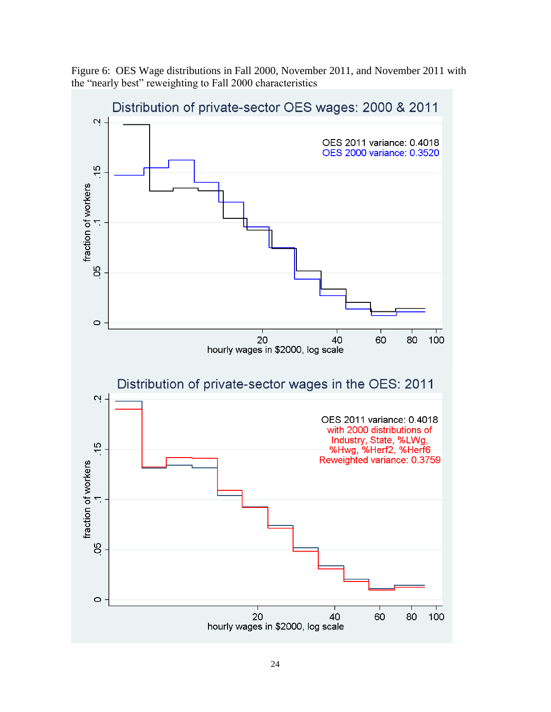Figure 6: OES Wage distributions in Fall 2000, November 2011, and November 2011 with the "nearly best" reweighting to Fall 2000 characteristics

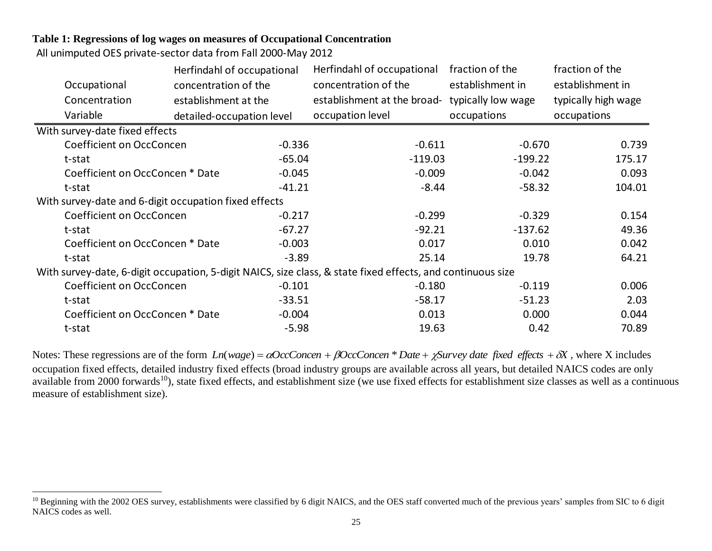## **Table 1: Regressions of log wages on measures of Occupational Concentration**

All unimputed OES private-sector data from Fall 2000-May 2012

 $\overline{a}$ 

|                                                       | Herfindahl of occupational |          | Herfindahl of occupational                                                                                  | fraction of the    | fraction of the     |  |
|-------------------------------------------------------|----------------------------|----------|-------------------------------------------------------------------------------------------------------------|--------------------|---------------------|--|
| Occupational                                          | concentration of the       |          | concentration of the                                                                                        | establishment in   | establishment in    |  |
| Concentration                                         | establishment at the       |          | establishment at the broad-                                                                                 | typically low wage | typically high wage |  |
| Variable                                              | detailed-occupation level  |          | occupation level                                                                                            | occupations        | occupations         |  |
| With survey-date fixed effects                        |                            |          |                                                                                                             |                    |                     |  |
| Coefficient on OccConcen                              |                            | $-0.336$ | $-0.611$                                                                                                    | $-0.670$           | 0.739               |  |
| t-stat                                                |                            | $-65.04$ | $-119.03$                                                                                                   | $-199.22$          | 175.17              |  |
| Coefficient on OccConcen * Date                       |                            | $-0.045$ | $-0.009$                                                                                                    | $-0.042$           | 0.093               |  |
| t-stat                                                |                            | $-41.21$ | $-8.44$                                                                                                     | $-58.32$           | 104.01              |  |
| With survey-date and 6-digit occupation fixed effects |                            |          |                                                                                                             |                    |                     |  |
| Coefficient on OccConcen                              |                            | $-0.217$ | $-0.299$                                                                                                    | $-0.329$           | 0.154               |  |
| t-stat                                                |                            | $-67.27$ | $-92.21$                                                                                                    | $-137.62$          | 49.36               |  |
| Coefficient on OccConcen * Date                       |                            | $-0.003$ | 0.017                                                                                                       | 0.010              | 0.042               |  |
| t-stat                                                |                            | $-3.89$  | 25.14                                                                                                       | 19.78              | 64.21               |  |
|                                                       |                            |          | With survey-date, 6-digit occupation, 5-digit NAICS, size class, & state fixed effects, and continuous size |                    |                     |  |
| Coefficient on OccConcen                              |                            | $-0.101$ | $-0.180$                                                                                                    | $-0.119$           | 0.006               |  |
| t-stat                                                |                            | $-33.51$ | $-58.17$                                                                                                    | $-51.23$           | 2.03                |  |
| Coefficient on OccConcen * Date                       |                            | $-0.004$ | 0.013                                                                                                       | 0.000              | 0.044               |  |
| t-stat                                                |                            | $-5.98$  | 19.63                                                                                                       | 0.42               | 70.89               |  |

Notes: These regressions are of the form  $Ln(wage) = \alpha OccConcen + \beta OccConcen * Date + \chi Survey date fixed effects + \delta X$ , where X includes occupation fixed effects, detailed industry fixed effects (broad industry groups are available across all years, but detailed NAICS codes are only available from 2000 forwards<sup>10</sup>), state fixed effects, and establishment size (we use fixed effects for establishment size classes as well as a continuous measure of establishment size).

<sup>&</sup>lt;sup>10</sup> Beginning with the 2002 OES survey, establishments were classified by 6 digit NAICS, and the OES staff converted much of the previous years' samples from SIC to 6 digit NAICS codes as well.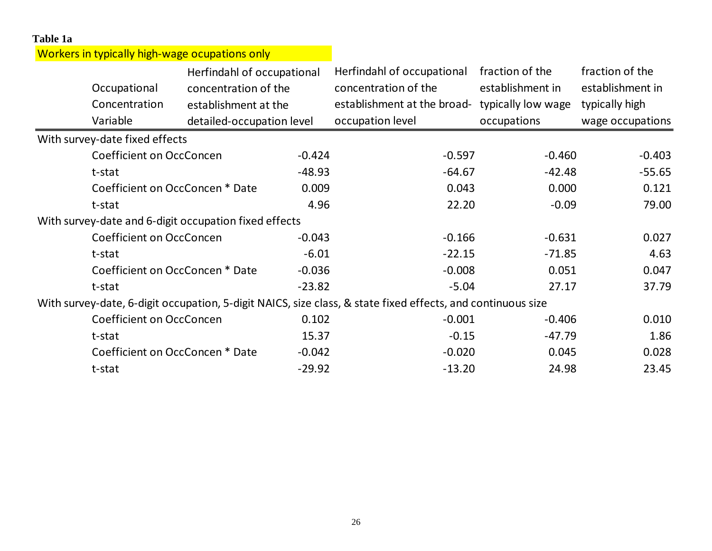| Table 1a |                                                       |                            |          |                                                                                                             |                    |                  |  |
|----------|-------------------------------------------------------|----------------------------|----------|-------------------------------------------------------------------------------------------------------------|--------------------|------------------|--|
|          | Workers in typically high-wage ocupations only        |                            |          |                                                                                                             |                    |                  |  |
|          |                                                       | Herfindahl of occupational |          | Herfindahl of occupational                                                                                  | fraction of the    | fraction of the  |  |
|          | Occupational                                          | concentration of the       |          | concentration of the                                                                                        | establishment in   | establishment in |  |
|          | Concentration                                         | establishment at the       |          | establishment at the broad-                                                                                 | typically low wage | typically high   |  |
|          | Variable                                              | detailed-occupation level  |          | occupation level                                                                                            | occupations        | wage occupations |  |
|          | With survey-date fixed effects                        |                            |          |                                                                                                             |                    |                  |  |
|          | Coefficient on OccConcen                              |                            | $-0.424$ | $-0.597$                                                                                                    | $-0.460$           | $-0.403$         |  |
|          | t-stat                                                |                            | $-48.93$ | $-64.67$                                                                                                    | $-42.48$           | $-55.65$         |  |
|          | Coefficient on OccConcen * Date                       |                            | 0.009    | 0.043                                                                                                       | 0.000              | 0.121            |  |
|          | t-stat                                                |                            | 4.96     | 22.20                                                                                                       | $-0.09$            | 79.00            |  |
|          | With survey-date and 6-digit occupation fixed effects |                            |          |                                                                                                             |                    |                  |  |
|          | Coefficient on OccConcen                              |                            | $-0.043$ | $-0.166$                                                                                                    | $-0.631$           | 0.027            |  |
|          | t-stat                                                |                            | $-6.01$  | $-22.15$                                                                                                    | $-71.85$           | 4.63             |  |
|          | Coefficient on OccConcen * Date                       |                            | $-0.036$ | $-0.008$                                                                                                    | 0.051              | 0.047            |  |
|          | t-stat                                                |                            | $-23.82$ | $-5.04$                                                                                                     | 27.17              | 37.79            |  |
|          |                                                       |                            |          | With survey-date, 6-digit occupation, 5-digit NAICS, size class, & state fixed effects, and continuous size |                    |                  |  |
|          | <b>Coefficient on OccConcen</b>                       |                            | 0.102    | $-0.001$                                                                                                    | $-0.406$           | 0.010            |  |
|          | t-stat                                                |                            | 15.37    | $-0.15$                                                                                                     | $-47.79$           | 1.86             |  |
|          | Coefficient on OccConcen * Date                       |                            | $-0.042$ | $-0.020$                                                                                                    | 0.045              | 0.028            |  |
|          | t-stat                                                |                            | $-29.92$ | $-13.20$                                                                                                    | 24.98              | 23.45            |  |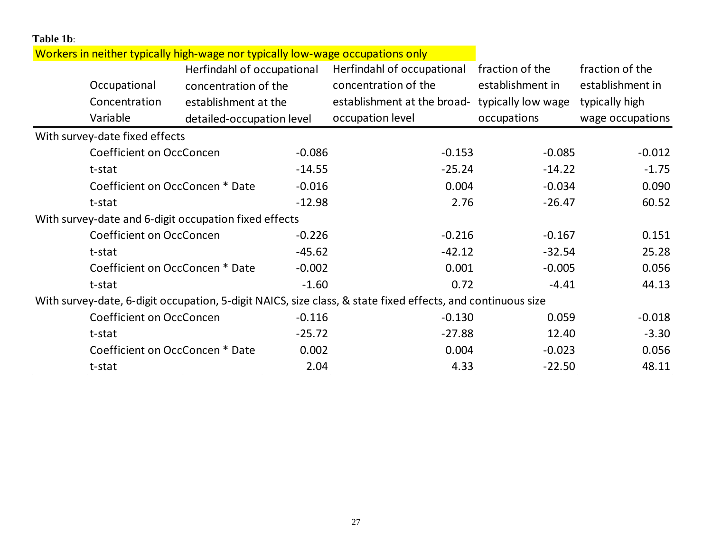| Table 1b: |                                                       |                            |          |                                                                                                             |                    |                  |
|-----------|-------------------------------------------------------|----------------------------|----------|-------------------------------------------------------------------------------------------------------------|--------------------|------------------|
|           |                                                       |                            |          | Workers in neither typically high-wage nor typically low-wage occupations only                              |                    |                  |
|           |                                                       | Herfindahl of occupational |          | Herfindahl of occupational                                                                                  | fraction of the    | fraction of the  |
|           | Occupational                                          | concentration of the       |          | concentration of the                                                                                        | establishment in   | establishment in |
|           | Concentration                                         | establishment at the       |          | establishment at the broad-                                                                                 | typically low wage | typically high   |
|           | Variable                                              | detailed-occupation level  |          | occupation level                                                                                            | occupations        | wage occupations |
|           | With survey-date fixed effects                        |                            |          |                                                                                                             |                    |                  |
|           | Coefficient on OccConcen                              |                            | $-0.086$ | $-0.153$                                                                                                    | $-0.085$           | $-0.012$         |
|           | t-stat                                                |                            | $-14.55$ | $-25.24$                                                                                                    | $-14.22$           | $-1.75$          |
|           | Coefficient on OccConcen * Date                       |                            | $-0.016$ | 0.004                                                                                                       | $-0.034$           | 0.090            |
|           | t-stat                                                |                            | $-12.98$ | 2.76                                                                                                        | $-26.47$           | 60.52            |
|           | With survey-date and 6-digit occupation fixed effects |                            |          |                                                                                                             |                    |                  |
|           | Coefficient on OccConcen                              |                            | $-0.226$ | $-0.216$                                                                                                    | $-0.167$           | 0.151            |
|           | t-stat                                                |                            | $-45.62$ | $-42.12$                                                                                                    | $-32.54$           | 25.28            |
|           | Coefficient on OccConcen * Date                       |                            | $-0.002$ | 0.001                                                                                                       | $-0.005$           | 0.056            |
|           | t-stat                                                |                            | $-1.60$  | 0.72                                                                                                        | $-4.41$            | 44.13            |
|           |                                                       |                            |          | With survey-date, 6-digit occupation, 5-digit NAICS, size class, & state fixed effects, and continuous size |                    |                  |
|           | Coefficient on OccConcen                              |                            | $-0.116$ | $-0.130$                                                                                                    | 0.059              | $-0.018$         |
|           | t-stat                                                |                            | $-25.72$ | $-27.88$                                                                                                    | 12.40              | $-3.30$          |
|           | Coefficient on OccConcen * Date                       |                            | 0.002    | 0.004                                                                                                       | $-0.023$           | 0.056            |
|           | t-stat                                                |                            | 2.04     | 4.33                                                                                                        | $-22.50$           | 48.11            |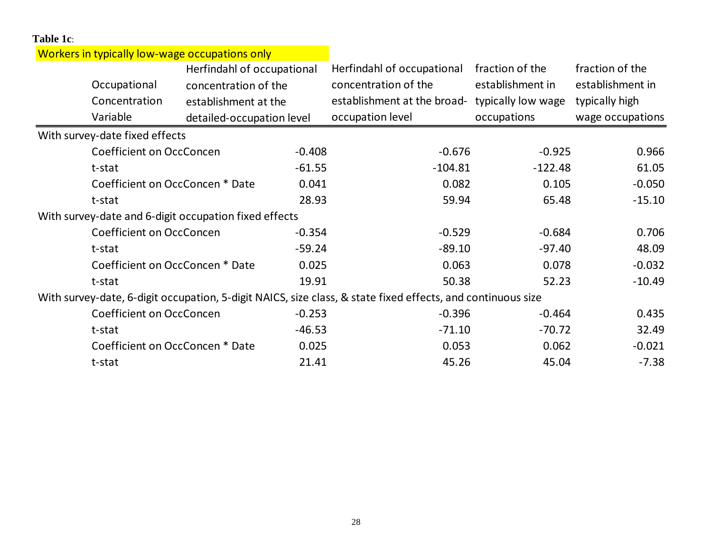| Table 1c: |                                                       |                            |          |                                                                                                             |                    |                  |
|-----------|-------------------------------------------------------|----------------------------|----------|-------------------------------------------------------------------------------------------------------------|--------------------|------------------|
|           | Workers in typically low-wage occupations only        |                            |          |                                                                                                             |                    |                  |
|           |                                                       | Herfindahl of occupational |          | Herfindahl of occupational                                                                                  | fraction of the    | fraction of the  |
|           | Occupational                                          | concentration of the       |          | concentration of the                                                                                        | establishment in   | establishment in |
|           | Concentration                                         | establishment at the       |          | establishment at the broad-                                                                                 | typically low wage | typically high   |
|           | Variable                                              | detailed-occupation level  |          | occupation level                                                                                            | occupations        | wage occupations |
|           | With survey-date fixed effects                        |                            |          |                                                                                                             |                    |                  |
|           | Coefficient on OccConcen                              |                            | $-0.408$ | $-0.676$                                                                                                    | $-0.925$           | 0.966            |
|           | t-stat                                                |                            | $-61.55$ | $-104.81$                                                                                                   | $-122.48$          | 61.05            |
|           | Coefficient on OccConcen * Date                       |                            | 0.041    | 0.082                                                                                                       | 0.105              | $-0.050$         |
|           | t-stat                                                |                            | 28.93    | 59.94                                                                                                       | 65.48              | $-15.10$         |
|           | With survey-date and 6-digit occupation fixed effects |                            |          |                                                                                                             |                    |                  |
|           | Coefficient on OccConcen                              |                            | $-0.354$ | $-0.529$                                                                                                    | $-0.684$           | 0.706            |
|           | t-stat                                                |                            | $-59.24$ | $-89.10$                                                                                                    | $-97.40$           | 48.09            |
|           | Coefficient on OccConcen * Date                       |                            | 0.025    | 0.063                                                                                                       | 0.078              | $-0.032$         |
|           | t-stat                                                |                            | 19.91    | 50.38                                                                                                       | 52.23              | $-10.49$         |
|           |                                                       |                            |          | With survey-date, 6-digit occupation, 5-digit NAICS, size class, & state fixed effects, and continuous size |                    |                  |
|           | Coefficient on OccConcen                              |                            | $-0.253$ | $-0.396$                                                                                                    | $-0.464$           | 0.435            |
|           | t-stat                                                |                            | $-46.53$ | $-71.10$                                                                                                    | $-70.72$           | 32.49            |
|           | Coefficient on OccConcen * Date                       |                            | 0.025    | 0.053                                                                                                       | 0.062              | $-0.021$         |
|           | t-stat                                                |                            | 21.41    | 45.26                                                                                                       | 45.04              | $-7.38$          |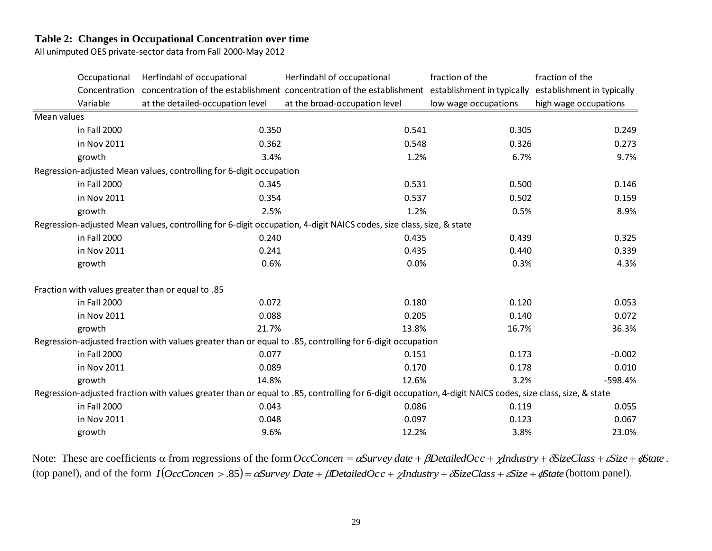## **Table 2: Changes in Occupational Concentration over time**

All unimputed OES private-sector data from Fall 2000-May 2012

|             | Occupational  | Herfindahl of occupational                                          | Herfindahl of occupational                                                                                                                                | fraction of the      | fraction of the            |
|-------------|---------------|---------------------------------------------------------------------|-----------------------------------------------------------------------------------------------------------------------------------------------------------|----------------------|----------------------------|
|             | Concentration |                                                                     | concentration of the establishment concentration of the establishment establishment in typically                                                          |                      | establishment in typically |
|             | Variable      | at the detailed-occupation level                                    | at the broad-occupation level                                                                                                                             | low wage occupations | high wage occupations      |
| Mean values |               |                                                                     |                                                                                                                                                           |                      |                            |
|             | in Fall 2000  | 0.350                                                               | 0.541                                                                                                                                                     | 0.305                | 0.249                      |
|             | in Nov 2011   | 0.362                                                               | 0.548                                                                                                                                                     | 0.326                | 0.273                      |
|             | growth        | 3.4%                                                                | 1.2%                                                                                                                                                      | 6.7%                 | 9.7%                       |
|             |               | Regression-adjusted Mean values, controlling for 6-digit occupation |                                                                                                                                                           |                      |                            |
|             | in Fall 2000  | 0.345                                                               | 0.531                                                                                                                                                     | 0.500                | 0.146                      |
|             | in Nov 2011   | 0.354                                                               | 0.537                                                                                                                                                     | 0.502                | 0.159                      |
|             | growth        | 2.5%                                                                | 1.2%                                                                                                                                                      | 0.5%                 | 8.9%                       |
|             |               |                                                                     | Regression-adjusted Mean values, controlling for 6-digit occupation, 4-digit NAICS codes, size class, size, & state                                       |                      |                            |
|             | in Fall 2000  | 0.240                                                               | 0.435                                                                                                                                                     | 0.439                | 0.325                      |
|             | in Nov 2011   | 0.241                                                               | 0.435                                                                                                                                                     | 0.440                | 0.339                      |
|             | growth        | 0.6%                                                                | 0.0%                                                                                                                                                      | 0.3%                 | 4.3%                       |
|             |               | Fraction with values greater than or equal to .85                   |                                                                                                                                                           |                      |                            |
|             | in Fall 2000  | 0.072                                                               | 0.180                                                                                                                                                     | 0.120                | 0.053                      |
|             | in Nov 2011   | 0.088                                                               | 0.205                                                                                                                                                     | 0.140                | 0.072                      |
|             | growth        | 21.7%                                                               | 13.8%                                                                                                                                                     | 16.7%                | 36.3%                      |
|             |               |                                                                     | Regression-adjusted fraction with values greater than or equal to .85, controlling for 6-digit occupation                                                 |                      |                            |
|             | in Fall 2000  | 0.077                                                               | 0.151                                                                                                                                                     | 0.173                | $-0.002$                   |
|             | in Nov 2011   | 0.089                                                               | 0.170                                                                                                                                                     | 0.178                | 0.010                      |
|             | growth        | 14.8%                                                               | 12.6%                                                                                                                                                     | 3.2%                 | $-598.4%$                  |
|             |               |                                                                     | Regression-adjusted fraction with values greater than or equal to .85, controlling for 6-digit occupation, 4-digit NAICS codes, size class, size, & state |                      |                            |
|             | in Fall 2000  | 0.043                                                               | 0.086                                                                                                                                                     | 0.119                | 0.055                      |
|             | in Nov 2011   | 0.048                                                               | 0.097                                                                                                                                                     | 0.123                | 0.067                      |
|             | growth        | 9.6%                                                                | 12.2%                                                                                                                                                     | 3.8%                 | 23.0%                      |

Note: These are coefficients  $\alpha$  from regressions of the form *OccConcen* =  $\alpha$ Survey *date* +  $\beta$ DetailedOcc +  $\chi$ Industry +  $\delta$ SizeClass +  $\epsilon$ Size +  $\phi$ State. (top panel), and of the form  $I(OccConcen > .85) = \alpha Survey Date + \beta DetailedOcc + \chi Industry + \delta SizeClass + \epsilon Size + \phi State$  (bottom panel).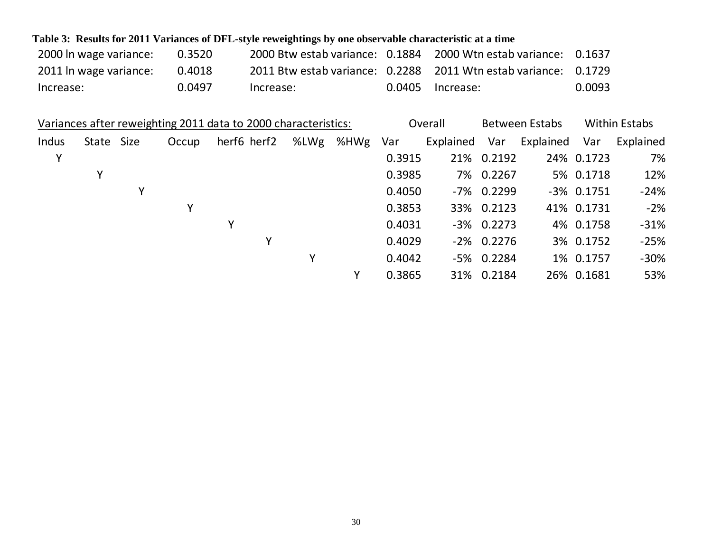| Table 3: Results for 2011 Variances of DFL-style reweightings by one observable characteristic at a time |        |           |  |                                                                 |        |  |  |  |  |  |  |
|----------------------------------------------------------------------------------------------------------|--------|-----------|--|-----------------------------------------------------------------|--------|--|--|--|--|--|--|
| 2000 In wage variance:                                                                                   | 0.3520 |           |  | 2000 Btw estab variance: 0.1884 2000 Wtn estab variance: 0.1637 |        |  |  |  |  |  |  |
| 2011 In wage variance:                                                                                   | 0.4018 |           |  | 2011 Btw estab variance: 0.2288 2011 Wtn estab variance: 0.1729 |        |  |  |  |  |  |  |
| Increase:                                                                                                | 0.0497 | Increase: |  | $0.0405$ Increase:                                              | 0.0093 |  |  |  |  |  |  |

|       | Variances after reweighting 2011 data to 2000 characteristics: |   |       |             |      |      |        | Overall   |               | <b>Between Estabs</b> |               | <b>Within Estabs</b> |  |
|-------|----------------------------------------------------------------|---|-------|-------------|------|------|--------|-----------|---------------|-----------------------|---------------|----------------------|--|
| Indus | State Size                                                     |   | Occup | herf6 herf2 | %LWg | %HWg | Var    | Explained | Var           | Explained             | Var           | Explained            |  |
| Υ     |                                                                |   |       |             |      |      | 0.3915 |           | 21% 0.2192    |                       | 24% 0.1723    | 7%                   |  |
|       | Υ                                                              |   |       |             |      |      | 0.3985 |           | 7% 0.2267     |                       | 5% 0.1718     | 12%                  |  |
|       |                                                                | Y |       |             |      |      | 0.4050 |           | -7% 0.2299    |                       | $-3\%$ 0.1751 | $-24%$               |  |
|       |                                                                |   | Υ     |             |      |      | 0.3853 |           | 33% 0.2123    |                       | 41% 0.1731    | $-2%$                |  |
|       |                                                                |   |       | Υ           |      |      | 0.4031 |           | $-3\%$ 0.2273 |                       | 4% 0.1758     | $-31%$               |  |
|       |                                                                |   |       | Υ           |      |      | 0.4029 |           | $-2\%$ 0.2276 |                       | 3% 0.1752     | $-25%$               |  |
|       |                                                                |   |       |             | Υ    |      | 0.4042 |           | $-5\%$ 0.2284 |                       | 1% 0.1757     | $-30%$               |  |
|       |                                                                |   |       |             |      | v    | 0.3865 |           | 31% 0.2184    |                       | 26% 0.1681    | 53%                  |  |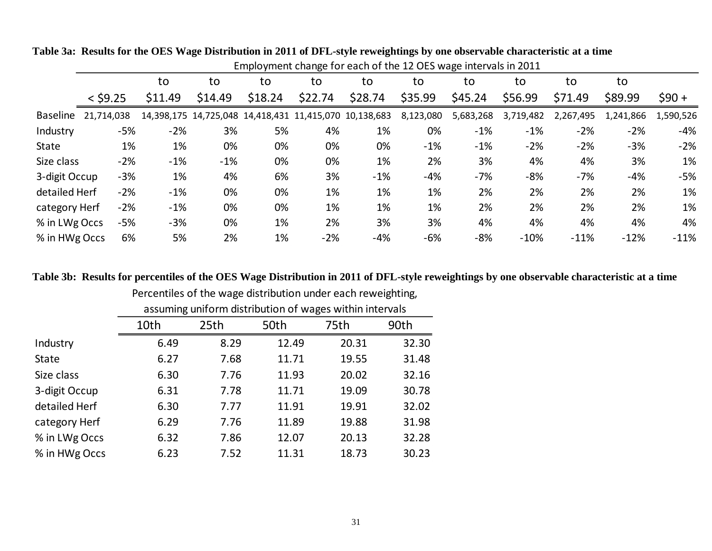|               |            |         |         |         |                                                        | Employment change for each of the 12 OES wage intervals in 2011 |           |           |           |           |           |           |
|---------------|------------|---------|---------|---------|--------------------------------------------------------|-----------------------------------------------------------------|-----------|-----------|-----------|-----------|-----------|-----------|
|               |            | to      | to      | to      | to                                                     | to                                                              | to        | to        | to        | to        | to        |           |
|               | $<$ \$9.25 | \$11.49 | \$14.49 | \$18.24 | \$22.74                                                | \$28.74                                                         | \$35.99   | \$45.24   | \$56.99   | \$71.49   | \$89.99   | $$90 +$   |
| Baseline      | 21,714,038 |         |         |         | 14,398,175 14,725,048 14,418,431 11,415,070 10,138,683 |                                                                 | 8,123,080 | 5,683,268 | 3,719,482 | 2,267,495 | 1,241,866 | 1,590,526 |
| Industry      | $-5%$      | $-2%$   | 3%      | 5%      | 4%                                                     | 1%                                                              | 0%        | $-1%$     | $-1%$     | $-2%$     | $-2%$     | $-4%$     |
| <b>State</b>  | 1%         | 1%      | 0%      | 0%      | 0%                                                     | 0%                                                              | $-1%$     | $-1%$     | $-2%$     | $-2%$     | $-3%$     | $-2%$     |
| Size class    | $-2%$      | $-1%$   | $-1%$   | 0%      | 0%                                                     | 1%                                                              | 2%        | 3%        | 4%        | 4%        | 3%        | 1%        |
| 3-digit Occup | $-3%$      | 1%      | 4%      | 6%      | 3%                                                     | $-1%$                                                           | $-4%$     | $-7%$     | $-8%$     | $-7%$     | $-4%$     | $-5%$     |
| detailed Herf | $-2%$      | $-1%$   | 0%      | 0%      | 1%                                                     | 1%                                                              | 1%        | 2%        | 2%        | 2%        | 2%        | 1%        |
| category Herf | $-2%$      | $-1%$   | 0%      | 0%      | 1%                                                     | 1%                                                              | 1%        | 2%        | 2%        | 2%        | 2%        | 1%        |
| % in LWg Occs | $-5%$      | $-3%$   | 0%      | 1%      | 2%                                                     | 3%                                                              | 3%        | 4%        | 4%        | 4%        | 4%        | 4%        |
| % in HWg Occs | 6%         | 5%      | 2%      | 1%      | $-2%$                                                  | $-4%$                                                           | $-6%$     | $-8%$     | $-10%$    | $-11%$    | $-12%$    | $-11%$    |

**Table 3a: Results for the OES Wage Distribution in 2011 of DFL-style reweightings by one observable characteristic at a time** Employment change for each of the 12 OES wage intervals in 2011

**Table 3b: Results for percentiles of the OES Wage Distribution in 2011 of DFL-style reweightings by one observable characteristic at a time** Percentiles of the wage distribution under each reweighting,

|               |      | assuming uniform distribution of wages within intervals |       |       |       |  |  |  |  |  |  |
|---------------|------|---------------------------------------------------------|-------|-------|-------|--|--|--|--|--|--|
|               | 10th | 25th                                                    | 50th  | 75th  | 90th  |  |  |  |  |  |  |
| Industry      | 6.49 | 8.29                                                    | 12.49 | 20.31 | 32.30 |  |  |  |  |  |  |
| <b>State</b>  | 6.27 | 7.68                                                    | 11.71 | 19.55 | 31.48 |  |  |  |  |  |  |
| Size class    | 6.30 | 7.76                                                    | 11.93 | 20.02 | 32.16 |  |  |  |  |  |  |
| 3-digit Occup | 6.31 | 7.78                                                    | 11.71 | 19.09 | 30.78 |  |  |  |  |  |  |
| detailed Herf | 6.30 | 7.77                                                    | 11.91 | 19.91 | 32.02 |  |  |  |  |  |  |
| category Herf | 6.29 | 7.76                                                    | 11.89 | 19.88 | 31.98 |  |  |  |  |  |  |
| % in LWg Occs | 6.32 | 7.86                                                    | 12.07 | 20.13 | 32.28 |  |  |  |  |  |  |
| % in HWg Occs | 6.23 | 7.52                                                    | 11.31 | 18.73 | 30.23 |  |  |  |  |  |  |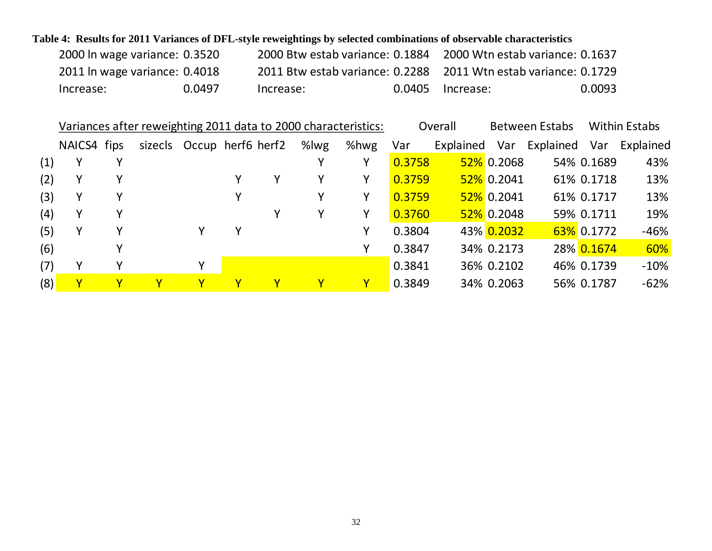# **Table 4: Results for 2011 Variances of DFL-style reweightings by selected combinations of observable characteristics**

| 2000 In wage variance: 0.3520 |        | 2000 Btw estab variance: 0.1884 |                  | 2000 Wtn estab variance: 0.1637                                 |
|-------------------------------|--------|---------------------------------|------------------|-----------------------------------------------------------------|
| 2011 In wage variance: 0.4018 |        |                                 |                  | 2011 Btw estab variance: 0.2288 2011 Wtn estab variance: 0.1729 |
| Increase:                     | 0.0497 | Increase:                       | 0.0405 Increase: | 0.0093                                                          |

|     | Variances after reweighting 2011 data to 2000 characteristics: |   |                           |   |   |   |          |      | Overall |           | <b>Between Estabs</b> | <b>Within Estabs</b> |            |           |
|-----|----------------------------------------------------------------|---|---------------------------|---|---|---|----------|------|---------|-----------|-----------------------|----------------------|------------|-----------|
|     | NAICS4 fips                                                    |   | sizecls Occup herf6 herf2 |   |   |   | %lwg     | %hwg | Var     | Explained | Var                   | Explained            | Var        | Explained |
| (1) | Υ                                                              |   |                           |   |   |   |          | Y    | 0.3758  |           | $52\%$ 0.2068         |                      | 54% 0.1689 | 43%       |
| (2) | Υ                                                              |   |                           |   |   | Y |          | Υ    | 0.3759  |           | $52\%$ 0.2041         |                      | 61% 0.1718 | 13%       |
| (3) | Υ                                                              |   |                           |   |   |   |          | Υ    | 0.3759  |           | $52\%$ 0.2041         |                      | 61% 0.1717 | 13%       |
| (4) | Υ                                                              |   |                           |   |   | Y | Υ        | Υ    | 0.3760  |           | $52\%$ 0.2048         |                      | 59% 0.1711 | 19%       |
| (5) | Υ                                                              | v |                           |   | Y |   |          | γ    | 0.3804  |           | 43% 0.2032            |                      | 63% 0.1772 | $-46%$    |
| (6) |                                                                |   |                           |   |   |   |          |      | 0.3847  |           | 34% 0.2173            |                      | 28% 0.1674 | 60%       |
| (7) | v                                                              |   |                           | ۷ |   |   |          |      | 0.3841  |           | 36% 0.2102            |                      | 46% 0.1739 | $-10%$    |
| (8) |                                                                |   | Y.                        |   |   | Υ | <u>Y</u> | Υ    | 0.3849  |           | 34% 0.2063            |                      | 56% 0.1787 | $-62%$    |